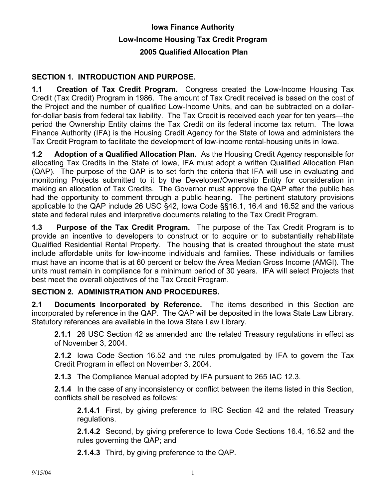## **Iowa Finance Authority Low-Income Housing Tax Credit Program 2005 Qualified Allocation Plan**

## **SECTION 1. INTRODUCTION AND PURPOSE.**

**1.1 Creation of Tax Credit Program.** Congress created the Low-Income Housing Tax Credit (Tax Credit) Program in 1986. The amount of Tax Credit received is based on the cost of the Project and the number of qualified Low-Income Units, and can be subtracted on a dollarfor-dollar basis from federal tax liability. The Tax Credit is received each year for ten years—the period the Ownership Entity claims the Tax Credit on its federal income tax return. The Iowa Finance Authority (IFA) is the Housing Credit Agency for the State of Iowa and administers the Tax Credit Program to facilitate the development of low-income rental-housing units in Iowa.

**1.2 Adoption of a Qualified Allocation Plan.** As the Housing Credit Agency responsible for allocating Tax Credits in the State of Iowa, IFA must adopt a written Qualified Allocation Plan (QAP). The purpose of the QAP is to set forth the criteria that IFA will use in evaluating and monitoring Projects submitted to it by the Developer/Ownership Entity for consideration in making an allocation of Tax Credits. The Governor must approve the QAP after the public has had the opportunity to comment through a public hearing. The pertinent statutory provisions applicable to the QAP include 26 USC §42, Iowa Code §§16.1, 16.4 and 16.52 and the various state and federal rules and interpretive documents relating to the Tax Credit Program.

**1.3 Purpose of the Tax Credit Program.** The purpose of the Tax Credit Program is to provide an incentive to developers to construct or to acquire or to substantially rehabilitate Qualified Residential Rental Property. The housing that is created throughout the state must include affordable units for low-income individuals and families. These individuals or families must have an income that is at 60 percent or below the Area Median Gross Income (AMGI). The units must remain in compliance for a minimum period of 30 years. IFA will select Projects that best meet the overall objectives of the Tax Credit Program.

## **SECTION 2. ADMINISTRATION AND PROCEDURES.**

**2.1 Documents Incorporated by Reference.** The items described in this Section are incorporated by reference in the QAP. The QAP will be deposited in the Iowa State Law Library. Statutory references are available in the Iowa State Law Library.

**2.1.1** 26 USC Section 42 as amended and the related Treasury regulations in effect as of November 3, 2004.

**2.1.2** Iowa Code Section 16.52 and the rules promulgated by IFA to govern the Tax Credit Program in effect on November 3, 2004.

**2.1.3** The Compliance Manual adopted by IFA pursuant to 265 IAC 12.3.

**2.1.4** In the case of any inconsistency or conflict between the items listed in this Section, conflicts shall be resolved as follows:

**2.1.4.1** First, by giving preference to IRC Section 42 and the related Treasury regulations.

**2.1.4.2** Second, by giving preference to Iowa Code Sections 16.4, 16.52 and the rules governing the QAP; and

**2.1.4.3** Third, by giving preference to the QAP.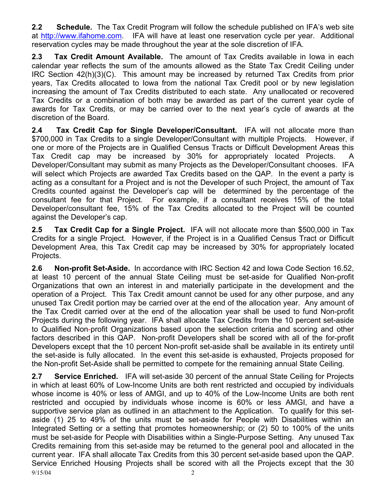**2.2 Schedule.** The Tax Credit Program will follow the schedule published on IFA's web site at http://www.ifahome.com. IFA will have at least one reservation cycle per year. Additional reservation cycles may be made throughout the year at the sole discretion of IFA.

**2.3 Tax Credit Amount Available.** The amount of Tax Credits available in Iowa in each calendar year reflects the sum of the amounts allowed as the State Tax Credit Ceiling under IRC Section 42(h)(3)(C). This amount may be increased by returned Tax Credits from prior years, Tax Credits allocated to Iowa from the national Tax Credit pool or by new legislation increasing the amount of Tax Credits distributed to each state.Any unallocated or recovered Tax Credits or a combination of both may be awarded as part of the current year cycle of awards for Tax Credits, or may be carried over to the next year's cycle of awards at the discretion of the Board.

**2.4 Tax Credit Cap for Single Developer/Consultant.** IFA will not allocate more than \$700,000 in Tax Credits to a single Developer/Consultant with multiple Projects. However, if one or more of the Projects are in Qualified Census Tracts or Difficult Development Areas this Tax Credit cap may be increased by 30% for appropriately located Projects. A Developer/Consultant may submit as many Projects as the Developer/Consultant chooses. IFA will select which Projects are awarded Tax Credits based on the QAP. In the event a party is acting as a consultant for a Project and is not the Developer of such Project, the amount of Tax Credits counted against the Developer's cap will be determined by the percentage of the consultant fee for that Project. For example, if a consultant receives 15% of the total Developer/consultant fee, 15% of the Tax Credits allocated to the Project will be counted against the Developer's cap.

**2.5 Tax Credit Cap for a Single Project.** IFA will not allocate more than \$500,000 in Tax Credits for a single Project. However, if the Project is in a Qualified Census Tract or Difficult Development Area, this Tax Credit cap may be increased by 30% for appropriately located Projects.

**2.6 Non-profit Set-Aside.** In accordance with IRC Section 42 and Iowa Code Section 16.52, at least 10 percent of the annual State Ceiling must be set-aside for Qualified Non-profit Organizations that own an interest in and materially participate in the development and the operation of a Project. This Tax Credit amount cannot be used for any other purpose, and any unused Tax Credit portion may be carried over at the end of the allocation year. Any amount of the Tax Credit carried over at the end of the allocation year shall be used to fund Non-profit Projects during the following year. IFA shall allocate Tax Credits from the 10 percent set-aside to Qualified Non-profit Organizations based upon the selection criteria and scoring and other factors described in this QAP. Non-profit Developers shall be scored with all of the for-profit Developers except that the 10 percent Non-profit set-aside shall be available in its entirety until the set-aside is fully allocated. In the event this set-aside is exhausted, Projects proposed for the Non-profit Set-Aside shall be permitted to compete for the remaining annual State Ceiling.

9/15/04 2 **2.7 Service Enriched.** IFA will set-aside 30 percent of the annual State Ceiling for Projects in which at least 60% of Low-Income Units are both rent restricted and occupied by individuals whose income is 40% or less of AMGI, and up to 40% of the Low-Income Units are both rent restricted and occupied by individuals whose income is 60% or less AMGI, and have a supportive service plan as outlined in an attachment to the Application. To qualify for this setaside (1) 25 to 49% of the units must be set-aside for People with Disabilities within an Integrated Setting or a setting that promotes homeownership; or (2) 50 to 100% of the units must be set-aside for People with Disabilities within a Single-Purpose Setting. Any unused Tax Credits remaining from this set-aside may be returned to the general pool and allocated in the current year. IFA shall allocate Tax Credits from this 30 percent set-aside based upon the QAP. Service Enriched Housing Projects shall be scored with all the Projects except that the 30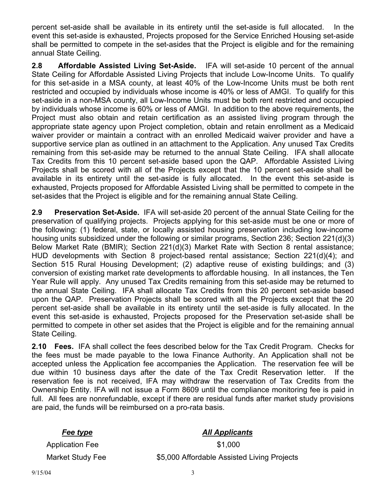percent set-aside shall be available in its entirety until the set-aside is full allocated. In the event this set-aside is exhausted, Projects proposed for the Service Enriched Housing set-aside shall be permitted to compete in the set-asides that the Project is eligible and for the remaining annual State Ceiling.

**2.8 Affordable Assisted Living Set-Aside.** IFA will set-aside 10 percent of the annual State Ceiling for Affordable Assisted Living Projects that include Low-Income Units. To qualify for this set-aside in a MSA county, at least 40% of the Low-Income Units must be both rent restricted and occupied by individuals whose income is 40% or less of AMGI. To qualify for this set-aside in a non-MSA county, all Low-Income Units must be both rent restricted and occupied by individuals whose income is 60% or less of AMGI. In addition to the above requirements, the Project must also obtain and retain certification as an assisted living program through the appropriate state agency upon Project completion, obtain and retain enrollment as a Medicaid waiver provider or maintain a contract with an enrolled Medicaid waiver provider and have a supportive service plan as outlined in an attachment to the Application. Any unused Tax Credits remaining from this set-aside may be returned to the annual State Ceiling. IFA shall allocate Tax Credits from this 10 percent set-aside based upon the QAP. Affordable Assisted Living Projects shall be scored with all of the Projects except that the 10 percent set-aside shall be available in its entirety until the set-aside is fully allocated. In the event this set-aside is exhausted, Projects proposed for Affordable Assisted Living shall be permitted to compete in the set-asides that the Project is eligible and for the remaining annual State Ceiling.

**2.9 Preservation Set-Aside.** IFA will set-aside 20 percent of the annual State Ceiling for the preservation of qualifying projects. Projects applying for this set-aside must be one or more of the following: (1) federal, state, or locally assisted housing preservation including low-income housing units subsidized under the following or similar programs, Section 236; Section 221(d)(3) Below Market Rate (BMIR); Section 221(d)(3) Market Rate with Section 8 rental assistance; HUD developments with Section 8 project-based rental assistance; Section 221(d)(4); and Section 515 Rural Housing Development; (2) adaptive reuse of existing buildings; and (3) conversion of existing market rate developments to affordable housing. In all instances, the Ten Year Rule will apply. Any unused Tax Credits remaining from this set-aside may be returned to the annual State Ceiling. IFA shall allocate Tax Credits from this 20 percent set-aside based upon the QAP. Preservation Projects shall be scored with all the Projects except that the 20 percent set-aside shall be available in its entirety until the set-aside is fully allocated. In the event this set-aside is exhausted, Projects proposed for the Preservation set-aside shall be permitted to compete in other set asides that the Project is eligible and for the remaining annual State Ceiling.

**2.10 Fees.** IFA shall collect the fees described below for the Tax Credit Program. Checks for the fees must be made payable to the Iowa Finance Authority. An Application shall not be accepted unless the Application fee accompanies the Application. The reservation fee will be due within 10 business days after the date of the Tax Credit Reservation letter. If the reservation fee is not received, IFA may withdraw the reservation of Tax Credits from the Ownership Entity. IFA will not issue a Form 8609 until the compliance monitoring fee is paid in full. All fees are nonrefundable, except if there are residual funds after market study provisions are paid, the funds will be reimbursed on a pro-rata basis.

# *Fee type* All Applicants Application Fee \$1,000 Market Study Fee  $$5,000$  Affordable Assisted Living Projects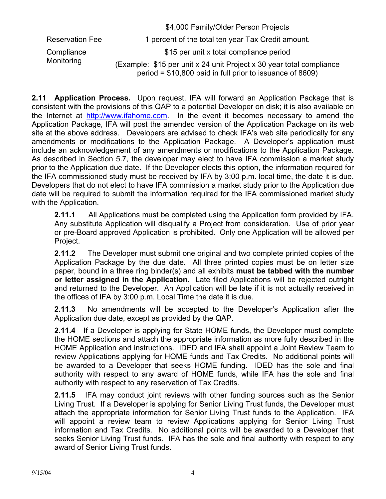|                        | \$4,000 Family/Older Person Projects                                                                                               |
|------------------------|------------------------------------------------------------------------------------------------------------------------------------|
| <b>Reservation Fee</b> | 1 percent of the total ten year Tax Credit amount.                                                                                 |
| Compliance             | \$15 per unit x total compliance period                                                                                            |
| Monitoring             | (Example: \$15 per unit x 24 unit Project x 30 year total compliance<br>period = $$10,800$ paid in full prior to issuance of 8609) |

**2.11 Application Process.** Upon request, IFA will forward an Application Package that is consistent with the provisions of this QAP to a potential Developer on disk; it is also available on the Internet at http://www.ifahome.com. In the event it becomes necessary to amend the Application Package, IFA will post the amended version of the Application Package on its web site at the above address. Developers are advised to check IFA's web site periodically for any amendments or modifications to the Application Package. A Developer's application must include an acknowledgement of any amendments or modifications to the Application Package. As described in Section 5.7, the developer may elect to have IFA commission a market study prior to the Application due date. If the Developer elects this option, the information required for the IFA commissioned study must be received by IFA by 3:00 p.m. local time, the date it is due. Developers that do not elect to have IFA commission a market study prior to the Application due date will be required to submit the information required for the IFA commissioned market study with the Application.

**2.11.1** All Applications must be completed using the Application form provided by IFA. Any substitute Application will disqualify a Project from consideration. Use of prior year or pre-Board approved Application is prohibited. Only one Application will be allowed per Project.

**2.11.2** The Developer must submit one original and two complete printed copies of the Application Package by the due date. All three printed copies must be on letter size paper, bound in a three ring binder(s) and all exhibits **must be tabbed with the number or letter assigned in the Application.** Late filed Applications will be rejected outright and returned to the Developer. An Application will be late if it is not actually received in the offices of IFA by 3:00 p.m. Local Time the date it is due.

**2.11.3** No amendments will be accepted to the Developer's Application after the Application due date, except as provided by the QAP.

**2.11.4** If a Developer is applying for State HOME funds, the Developer must complete the HOME sections and attach the appropriate information as more fully described in the HOME Application and instructions. IDED and IFA shall appoint a Joint Review Team to review Applications applying for HOME funds and Tax Credits. No additional points will be awarded to a Developer that seeks HOME funding. IDED has the sole and final authority with respect to any award of HOME funds, while IFA has the sole and final authority with respect to any reservation of Tax Credits.

**2.11.5** IFA may conduct joint reviews with other funding sources such as the Senior Living Trust. If a Developer is applying for Senior Living Trust funds, the Developer must attach the appropriate information for Senior Living Trust funds to the Application. IFA will appoint a review team to review Applications applying for Senior Living Trust information and Tax Credits. No additional points will be awarded to a Developer that seeks Senior Living Trust funds. IFA has the sole and final authority with respect to any award of Senior Living Trust funds.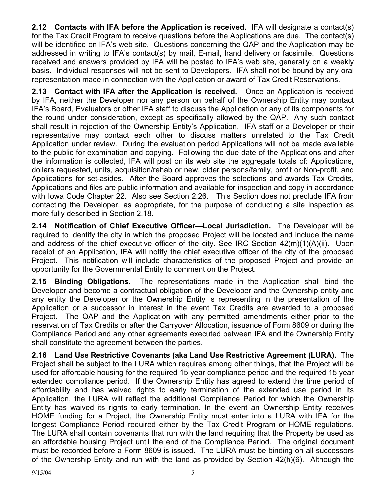**2.12 Contacts with IFA before the Application is received.** IFA will designate a contact(s) for the Tax Credit Program to receive questions before the Applications are due. The contact(s) will be identified on IFA's web site. Questions concerning the QAP and the Application may be addressed in writing to IFA's contact(s) by mail, E-mail, hand delivery or facsimile. Questions received and answers provided by IFA will be posted to IFA's web site, generally on a weekly basis. Individual responses will not be sent to Developers. IFA shall not be bound by any oral representation made in connection with the Application or award of Tax Credit Reservations.

**2.13 Contact with IFA after the Application is received.** Once an Application is received by IFA, neither the Developer nor any person on behalf of the Ownership Entity may contact IFA's Board, Evaluators or other IFA staff to discuss the Application or any of its components for the round under consideration, except as specifically allowed by the QAP. Any such contact shall result in rejection of the Ownership Entity's Application. IFA staff or a Developer or their representative may contact each other to discuss matters unrelated to the Tax Credit Application under review. During the evaluation period Applications will not be made available to the public for examination and copying. Following the due date of the Applications and after the information is collected, IFA will post on its web site the aggregate totals of: Applications, dollars requested, units, acquisition/rehab or new, older persons/family, profit or Non-profit, and Applications for set-asides. After the Board approves the selections and awards Tax Credits, Applications and files are public information and available for inspection and copy in accordance with Iowa Code Chapter 22. Also see Section 2.26. This Section does not preclude IFA from contacting the Developer, as appropriate, for the purpose of conducting a site inspection as more fully described in Section 2.18.

**2.14 Notification of Chief Executive Officer—Local Jurisdiction.** The Developer will be required to identify the city in which the proposed Project will be located and include the name and address of the chief executive officer of the city. See IRC Section 42(m)(1)(A)(ii). Upon receipt of an Application, IFA will notify the chief executive officer of the city of the proposed Project. This notification will include characteristics of the proposed Project and provide an opportunity for the Governmental Entity to comment on the Project.

**2.15 Binding Obligations.** The representations made in the Application shall bind the Developer and become a contractual obligation of the Developer and the Ownership entity and any entity the Developer or the Ownership Entity is representing in the presentation of the Application or a successor in interest in the event Tax Credits are awarded to a proposed Project. The QAP and the Application with any permitted amendments either prior to the reservation of Tax Credits or after the Carryover Allocation, issuance of Form 8609 or during the Compliance Period and any other agreements executed between IFA and the Ownership Entity shall constitute the agreement between the parties.

**2.16 Land Use Restrictive Covenants (aka Land Use Restrictive Agreement (LURA).** The Project shall be subject to the LURA which requires among other things, that the Project will be used for affordable housing for the required 15 year compliance period and the required 15 year extended compliance period. If the Ownership Entity has agreed to extend the time period of affordability and has waived rights to early termination of the extended use period in its Application, the LURA will reflect the additional Compliance Period for which the Ownership Entity has waived its rights to early termination. In the event an Ownership Entity receives HOME funding for a Project, the Ownership Entity must enter into a LURA with IFA for the longest Compliance Period required either by the Tax Credit Program or HOME regulations. The LURA shall contain covenants that run with the land requiring that the Property be used as an affordable housing Project until the end of the Compliance Period. The original document must be recorded before a Form 8609 is issued. The LURA must be binding on all successors of the Ownership Entity and run with the land as provided by Section 42(h)(6). Although the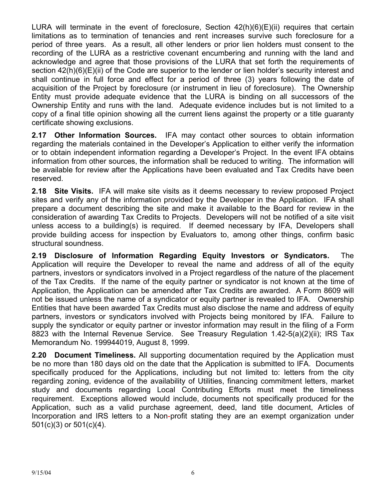LURA will terminate in the event of foreclosure, Section  $42(h)(6)(E)(ii)$  requires that certain limitations as to termination of tenancies and rent increases survive such foreclosure for a period of three years. As a result, all other lenders or prior lien holders must consent to the recording of the LURA as a restrictive covenant encumbering and running with the land and acknowledge and agree that those provisions of the LURA that set forth the requirements of section 42(h)(6)(E)(ii) of the Code are superior to the lender or lien holder's security interest and shall continue in full force and effect for a period of three (3) years following the date of acquisition of the Project by foreclosure (or instrument in lieu of foreclosure). The Ownership Entity must provide adequate evidence that the LURA is binding on all successors of the Ownership Entity and runs with the land. Adequate evidence includes but is not limited to a copy of a final title opinion showing all the current liens against the property or a title guaranty certificate showing exclusions.

**2.17 Other Information Sources.** IFA may contact other sources to obtain information regarding the materials contained in the Developer's Application to either verify the information or to obtain independent information regarding a Developer's Project. In the event IFA obtains information from other sources, the information shall be reduced to writing. The information will be available for review after the Applications have been evaluated and Tax Credits have been reserved.

**2.18 Site Visits.** IFA will make site visits as it deems necessary to review proposed Project sites and verify any of the information provided by the Developer in the Application. IFA shall prepare a document describing the site and make it available to the Board for review in the consideration of awarding Tax Credits to Projects. Developers will not be notified of a site visit unless access to a building(s) is required. If deemed necessary by IFA, Developers shall provide building access for inspection by Evaluators to, among other things, confirm basic structural soundness.

**2.19 Disclosure of Information Regarding Equity Investors or Syndicators.** The Application will require the Developer to reveal the name and address of all of the equity partners, investors or syndicators involved in a Project regardless of the nature of the placement of the Tax Credits. If the name of the equity partner or syndicator is not known at the time of Application, the Application can be amended after Tax Credits are awarded. A Form 8609 will not be issued unless the name of a syndicator or equity partner is revealed to IFA. Ownership Entities that have been awarded Tax Credits must also disclose the name and address of equity partners, investors or syndicators involved with Projects being monitored by IFA. Failure to supply the syndicator or equity partner or investor information may result in the filing of a Form 8823 with the Internal Revenue Service. See Treasury Regulation 1.42-5(a)(2)(ii); IRS Tax Memorandum No. 199944019, August 8, 1999.

**2.20 Document Timeliness.** All supporting documentation required by the Application must be no more than 180 days old on the date that the Application is submitted to IFA. Documents specifically produced for the Applications, including but not limited to: letters from the city regarding zoning, evidence of the availability of Utilities, financing commitment letters, market study and documents regarding Local Contributing Efforts must meet the timeliness requirement. Exceptions allowed would include, documents not specifically produced for the Application, such as a valid purchase agreement, deed, land title document, Articles of Incorporation and IRS letters to a Non-profit stating they are an exempt organization under 501(c)(3) or 501(c)(4).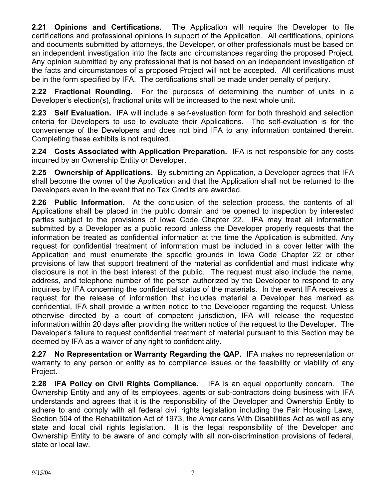**2.21 Opinions and Certifications.** The Application will require the Developer to file certifications and professional opinions in support of the Application. All certifications, opinions and documents submitted by attorneys, the Developer, or other professionals must be based on an independent investigation into the facts and circumstances regarding the proposed Project. Any opinion submitted by any professional that is not based on an independent investigation of the facts and circumstances of a proposed Project will not be accepted. All certifications must be in the form specified by IFA. The certifications shall be made under penalty of perjury.

**2.22 Fractional Rounding.** For the purposes of determining the number of units in a Developer's election(s), fractional units will be increased to the next whole unit.

**2.23 Self Evaluation.** IFA will include a self-evaluation form for both threshold and selection criteria for Developers to use to evaluate their Applications. The self-evaluation is for the convenience of the Developers and does not bind IFA to any information contained therein. Completing these exhibits is not required.

**2.24 Costs Associated with Application Preparation.** IFA is not responsible for any costs incurred by an Ownership Entity or Developer.

**2.25 Ownership of Applications.** By submitting an Application, a Developer agrees that IFA shall become the owner of the Application and that the Application shall not be returned to the Developers even in the event that no Tax Credits are awarded.

**2.26 Public Information.** At the conclusion of the selection process, the contents of all Applications shall be placed in the public domain and be opened to inspection by interested parties subject to the provisions of Iowa Code Chapter 22. IFA may treat all information submitted by a Developer as a public record unless the Developer properly requests that the information be treated as confidential information at the time the Application is submitted. Any request for confidential treatment of information must be included in a cover letter with the Application and must enumerate the specific grounds in Iowa Code Chapter 22 or other provisions of law that support treatment of the material as confidential and must indicate why disclosure is not in the best interest of the public. The request must also include the name, address, and telephone number of the person authorized by the Developer to respond to any inquiries by IFA concerning the confidential status of the materials. In the event IFA receives a request for the release of information that includes material a Developer has marked as confidential, IFA shall provide a written notice to the Developer regarding the request. Unless otherwise directed by a court of competent jurisdiction, IFA will release the requested information within 20 days after providing the written notice of the request to the Developer. The Developer's failure to request confidential treatment of material pursuant to this Section may be deemed by IFA as a waiver of any right to confidentiality.

**2.27 No Representation or Warranty Regarding the QAP.** IFA makes no representation or warranty to any person or entity as to compliance issues or the feasibility or viability of any Project.

**2.28 IFA Policy on Civil Rights Compliance.** IFA is an equal opportunity concern. The Ownership Entity and any of its employees, agents or sub-contractors doing business with IFA understands and agrees that it is the responsibility of the Developer and Ownership Entity to adhere to and comply with all federal civil rights legislation including the Fair Housing Laws, Section 504 of the Rehabilitation Act of 1973, the Americans With Disabilities Act as well as any state and local civil rights legislation. It is the legal responsibility of the Developer and Ownership Entity to be aware of and comply with all non-discrimination provisions of federal, state or local law.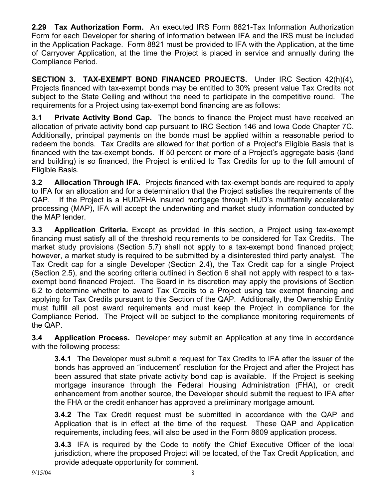**2.29 Tax Authorization Form.** An executed IRS Form 8821-Tax Information Authorization Form for each Developer for sharing of information between IFA and the IRS must be included in the Application Package. Form 8821 must be provided to IFA with the Application, at the time of Carryover Application, at the time the Project is placed in service and annually during the Compliance Period.

**SECTION 3. TAX-EXEMPT BOND FINANCED PROJECTS.** Under IRC Section 42(h)(4), Projects financed with tax-exempt bonds may be entitled to 30% present value Tax Credits not subject to the State Ceiling and without the need to participate in the competitive round. The requirements for a Project using tax-exempt bond financing are as follows:

**3.1 Private Activity Bond Cap.** The bonds to finance the Project must have received an allocation of private activity bond cap pursuant to IRC Section 146 and Iowa Code Chapter 7C. Additionally, principal payments on the bonds must be applied within a reasonable period to redeem the bonds. Tax Credits are allowed for that portion of a Project's Eligible Basis that is financed with the tax-exempt bonds. If 50 percent or more of a Project's aggregate basis (land and building) is so financed, the Project is entitled to Tax Credits for up to the full amount of Eligible Basis.

**3.2 Allocation Through IFA.** Projects financed with tax-exempt bonds are required to apply to IFA for an allocation and for a determination that the Project satisfies the requirements of the QAP. If the Project is a HUD/FHA insured mortgage through HUD's multifamily accelerated processing (MAP), IFA will accept the underwriting and market study information conducted by the MAP lender.

**3.3 Application Criteria.** Except as provided in this section, a Project using tax-exempt financing must satisfy all of the threshold requirements to be considered for Tax Credits. The market study provisions (Section 5.7) shall not apply to a tax-exempt bond financed project; however, a market study is required to be submitted by a disinterested third party analyst. The Tax Credit cap for a single Developer (Section 2.4), the Tax Credit cap for a single Project (Section 2.5), and the scoring criteria outlined in Section 6 shall not apply with respect to a taxexempt bond financed Project. The Board in its discretion may apply the provisions of Section 6.2 to determine whether to award Tax Credits to a Project using tax exempt financing and applying for Tax Credits pursuant to this Section of the QAP. Additionally, the Ownership Entity must fulfill all post award requirements and must keep the Project in compliance for the Compliance Period. The Project will be subject to the compliance monitoring requirements of the QAP.

**3.4 Application Process.** Developer may submit an Application at any time in accordance with the following process:

**3.4.1** The Developer must submit a request for Tax Credits to IFA after the issuer of the bonds has approved an "inducement" resolution for the Project and after the Project has been assured that state private activity bond cap is available. If the Project is seeking mortgage insurance through the Federal Housing Administration (FHA), or credit enhancement from another source, the Developer should submit the request to IFA after the FHA or the credit enhancer has approved a preliminary mortgage amount.

**3.4.2** The Tax Credit request must be submitted in accordance with the QAP and Application that is in effect at the time of the request. These QAP and Application requirements, including fees, will also be used in the Form 8609 application process.

**3.4.3** IFA is required by the Code to notify the Chief Executive Officer of the local jurisdiction, where the proposed Project will be located, of the Tax Credit Application, and provide adequate opportunity for comment.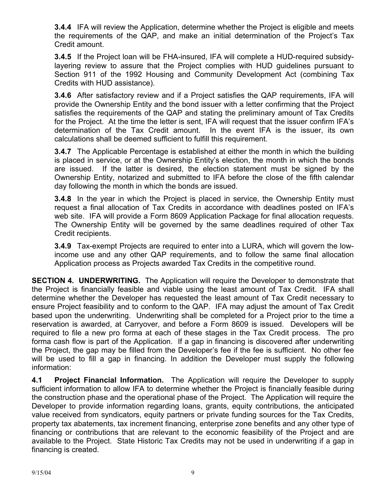**3.4.4** IFA will review the Application, determine whether the Project is eligible and meets the requirements of the QAP, and make an initial determination of the Project's Tax Credit amount.

**3.4.5** If the Project loan will be FHA-insured, IFA will complete a HUD-required subsidylayering review to assure that the Project complies with HUD guidelines pursuant to Section 911 of the 1992 Housing and Community Development Act (combining Tax Credits with HUD assistance).

**3.4.6** After satisfactory review and if a Project satisfies the QAP requirements, IFA will provide the Ownership Entity and the bond issuer with a letter confirming that the Project satisfies the requirements of the QAP and stating the preliminary amount of Tax Credits for the Project. At the time the letter is sent, IFA will request that the issuer confirm IFA's determination of the Tax Credit amount. In the event IFA is the issuer, its own calculations shall be deemed sufficient to fulfill this requirement.

**3.4.7** The Applicable Percentage is established at either the month in which the building is placed in service, or at the Ownership Entity's election, the month in which the bonds are issued. If the latter is desired, the election statement must be signed by the Ownership Entity, notarized and submitted to IFA before the close of the fifth calendar day following the month in which the bonds are issued.

**3.4.8** In the year in which the Project is placed in service, the Ownership Entity must request a final allocation of Tax Credits in accordance with deadlines posted on IFA's web site. IFA will provide a Form 8609 Application Package for final allocation requests. The Ownership Entity will be governed by the same deadlines required of other Tax Credit recipients.

**3.4.9** Tax-exempt Projects are required to enter into a LURA, which will govern the lowincome use and any other QAP requirements, and to follow the same final allocation Application process as Projects awarded Tax Credits in the competitive round.

**SECTION 4. UNDERWRITING.** The Application will require the Developer to demonstrate that the Project is financially feasible and viable using the least amount of Tax Credit. IFA shall determine whether the Developer has requested the least amount of Tax Credit necessary to ensure Project feasibility and to conform to the QAP. IFA may adjust the amount of Tax Credit based upon the underwriting. Underwriting shall be completed for a Project prior to the time a reservation is awarded, at Carryover, and before a Form 8609 is issued. Developers will be required to file a new pro forma at each of these stages in the Tax Credit process. The pro forma cash flow is part of the Application. If a gap in financing is discovered after underwriting the Project, the gap may be filled from the Developer's fee if the fee is sufficient. No other fee will be used to fill a gap in financing. In addition the Developer must supply the following information:

**4.1 Project Financial Information.** The Application will require the Developer to supply sufficient information to allow IFA to determine whether the Project is financially feasible during the construction phase and the operational phase of the Project. The Application will require the Developer to provide information regarding loans, grants, equity contributions, the anticipated value received from syndicators, equity partners or private funding sources for the Tax Credits, property tax abatements, tax increment financing, enterprise zone benefits and any other type of financing or contributions that are relevant to the economic feasibility of the Project and are available to the Project. State Historic Tax Credits may not be used in underwriting if a gap in financing is created.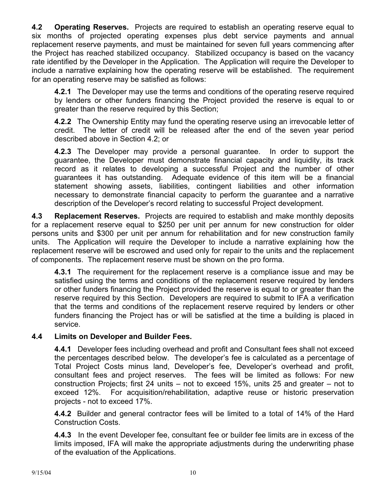**4.2 Operating Reserves.** Projects are required to establish an operating reserve equal to six months of projected operating expenses plus debt service payments and annual replacement reserve payments, and must be maintained for seven full years commencing after the Project has reached stabilized occupancy. Stabilized occupancy is based on the vacancy rate identified by the Developer in the Application. The Application will require the Developer to include a narrative explaining how the operating reserve will be established. The requirement for an operating reserve may be satisfied as follows:

**4.2.1** The Developer may use the terms and conditions of the operating reserve required by lenders or other funders financing the Project provided the reserve is equal to or greater than the reserve required by this Section;

**4.2.2** The Ownership Entity may fund the operating reserve using an irrevocable letter of credit. The letter of credit will be released after the end of the seven year period described above in Section 4.2; or

**4.2.3** The Developer may provide a personal guarantee. In order to support the guarantee, the Developer must demonstrate financial capacity and liquidity, its track record as it relates to developing a successful Project and the number of other guarantees it has outstanding. Adequate evidence of this item will be a financial statement showing assets, liabilities, contingent liabilities and other information necessary to demonstrate financial capacity to perform the guarantee and a narrative description of the Developer's record relating to successful Project development.

**4.3 Replacement Reserves.** Projects are required to establish and make monthly deposits for a replacement reserve equal to \$250 per unit per annum for new construction for older persons units and \$300 per unit per annum for rehabilitation and for new construction family units. The Application will require the Developer to include a narrative explaining how the replacement reserve will be escrowed and used only for repair to the units and the replacement of components. The replacement reserve must be shown on the pro forma.

**4.3.1** The requirement for the replacement reserve is a compliance issue and may be satisfied using the terms and conditions of the replacement reserve required by lenders or other funders financing the Project provided the reserve is equal to or greater than the reserve required by this Section. Developers are required to submit to IFA a verification that the terms and conditions of the replacement reserve required by lenders or other funders financing the Project has or will be satisfied at the time a building is placed in service.

## **4.4 Limits on Developer and Builder Fees.**

**4.4.1** Developer fees including overhead and profit and Consultant fees shall not exceed the percentages described below. The developer's fee is calculated as a percentage of Total Project Costs minus land, Developer's fee, Developer's overhead and profit, consultant fees and project reserves. The fees will be limited as follows: For new construction Projects; first 24 units – not to exceed 15%, units 25 and greater – not to exceed 12%. For acquisition/rehabilitation, adaptive reuse or historic preservation projects - not to exceed 17%.

**4.4.2** Builder and general contractor fees will be limited to a total of 14% of the Hard Construction Costs.

**4.4.3** In the event Developer fee, consultant fee or builder fee limits are in excess of the limits imposed, IFA will make the appropriate adjustments during the underwriting phase of the evaluation of the Applications.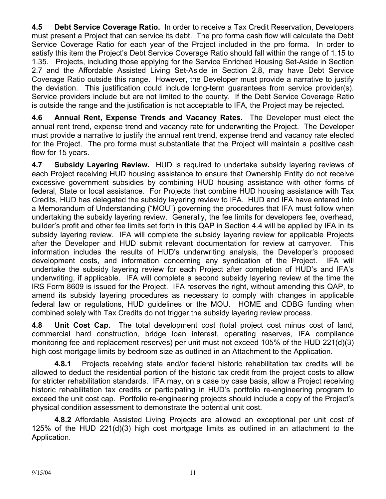**4.5 Debt Service Coverage Ratio.** In order to receive a Tax Credit Reservation, Developers must present a Project that can service its debt. The pro forma cash flow will calculate the Debt Service Coverage Ratio for each year of the Project included in the pro forma. In order to satisfy this item the Project's Debt Service Coverage Ratio should fall within the range of 1.15 to 1.35. Projects, including those applying for the Service Enriched Housing Set-Aside in Section 2.7 and the Affordable Assisted Living Set-Aside in Section 2.8, may have Debt Service Coverage Ratio outside this range. However, the Developer must provide a narrative to justify the deviation. This justification could include long-term guarantees from service provider(s). Service providers include but are not limited to the county. If the Debt Service Coverage Ratio is outside the range and the justification is not acceptable to IFA, the Project may be rejected**.** 

**4.6 Annual Rent, Expense Trends and Vacancy Rates.** The Developer must elect the annual rent trend, expense trend and vacancy rate for underwriting the Project. The Developer must provide a narrative to justify the annual rent trend, expense trend and vacancy rate elected for the Project. The pro forma must substantiate that the Project will maintain a positive cash flow for 15 years.

**4.7 Subsidy Layering Review.** HUD is required to undertake subsidy layering reviews of each Project receiving HUD housing assistance to ensure that Ownership Entity do not receive excessive government subsidies by combining HUD housing assistance with other forms of federal, State or local assistance. For Projects that combine HUD housing assistance with Tax Credits, HUD has delegated the subsidy layering review to IFA. HUD and IFA have entered into a Memorandum of Understanding ("MOU") governing the procedures that IFA must follow when undertaking the subsidy layering review. Generally, the fee limits for developers fee, overhead, builder's profit and other fee limits set forth in this QAP in Section 4.4 will be applied by IFA in its subsidy layering review. IFA will complete the subsidy layering review for applicable Projects after the Developer and HUD submit relevant documentation for review at carryover. This information includes the results of HUD's underwriting analysis, the Developer's proposed development costs, and information concerning any syndication of the Project. IFA will undertake the subsidy layering review for each Project after completion of HUD's and IFA's underwriting, if applicable. IFA will complete a second subsidy layering review at the time the IRS Form 8609 is issued for the Project. IFA reserves the right, without amending this QAP, to amend its subsidy layering procedures as necessary to comply with changes in applicable federal law or regulations, HUD guidelines or the MOU. HOME and CDBG funding when combined solely with Tax Credits do not trigger the subsidy layering review process.

**4.8 Unit Cost Cap.** The total development cost (total project cost minus cost of land, commercial hard construction, bridge loan interest, operating reserves, IFA compliance monitoring fee and replacement reserves) per unit must not exceed 105% of the HUD 221(d)(3) high cost mortgage limits by bedroom size as outlined in an Attachment to the Application.

 **4.8.1** Projects receiving state and/or federal historic rehabilitation tax credits will be allowed to deduct the residential portion of the historic tax credit from the project costs to allow for stricter rehabilitation standards. IFA may, on a case by case basis, allow a Project receiving historic rehabilitation tax credits or participating in HUD's portfolio re-engineering program to exceed the unit cost cap. Portfolio re-engineering projects should include a copy of the Project's physical condition assessment to demonstrate the potential unit cost.

 **4.8.2** Affordable Assisted Living Projects are allowed an exceptional per unit cost of 125% of the HUD 221(d)(3) high cost mortgage limits as outlined in an attachment to the Application.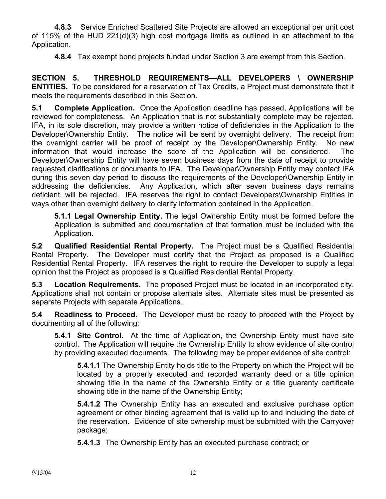**4.8.3** Service Enriched Scattered Site Projects are allowed an exceptional per unit cost of 115% of the HUD 221(d)(3) high cost mortgage limits as outlined in an attachment to the Application.

**4.8.4** Tax exempt bond projects funded under Section 3 are exempt from this Section.

**SECTION 5. THRESHOLD REQUIREMENTS—ALL DEVELOPERS \ OWNERSHIP ENTITIES.** To be considered for a reservation of Tax Credits, a Project must demonstrate that it meets the requirements described in this Section.

**5.1 Complete Application.** Once the Application deadline has passed, Applications will be reviewed for completeness. An Application that is not substantially complete may be rejected. IFA, in its sole discretion, may provide a written notice of deficiencies in the Application to the Developer\Ownership Entity. The notice will be sent by overnight delivery. The receipt from the overnight carrier will be proof of receipt by the Developer\Ownership Entity. No new information that would increase the score of the Application will be considered. The Developer\Ownership Entity will have seven business days from the date of receipt to provide requested clarifications or documents to IFA. The Developer\Ownership Entity may contact IFA during this seven day period to discuss the requirements of the Developer\Ownership Entity in addressing the deficiencies. Any Application, which after seven business days remains deficient, will be rejected. IFA reserves the right to contact Developers\Ownership Entities in ways other than overnight delivery to clarify information contained in the Application.

**5.1.1 Legal Ownership Entity.** The legal Ownership Entity must be formed before the Application is submitted and documentation of that formation must be included with the Application.

**5.2 Qualified Residential Rental Property.** The Project must be a Qualified Residential Rental Property. The Developer must certify that the Project as proposed is a Qualified Residential Rental Property. IFA reserves the right to require the Developer to supply a legal opinion that the Project as proposed is a Qualified Residential Rental Property.

**5.3 Location Requirements.** The proposed Project must be located in an incorporated city. Applications shall not contain or propose alternate sites. Alternate sites must be presented as separate Projects with separate Applications.

**5.4 Readiness to Proceed.** The Developer must be ready to proceed with the Project by documenting all of the following:

**5.4.1 Site Control.** At the time of Application, the Ownership Entity must have site control. The Application will require the Ownership Entity to show evidence of site control by providing executed documents. The following may be proper evidence of site control:

**5.4.1.1** The Ownership Entity holds title to the Property on which the Project will be located by a properly executed and recorded warranty deed or a title opinion showing title in the name of the Ownership Entity or a title guaranty certificate showing title in the name of the Ownership Entity;

**5.4.1.2** The Ownership Entity has an executed and exclusive purchase option agreement or other binding agreement that is valid up to and including the date of the reservation. Evidence of site ownership must be submitted with the Carryover package;

**5.4.1.3** The Ownership Entity has an executed purchase contract; or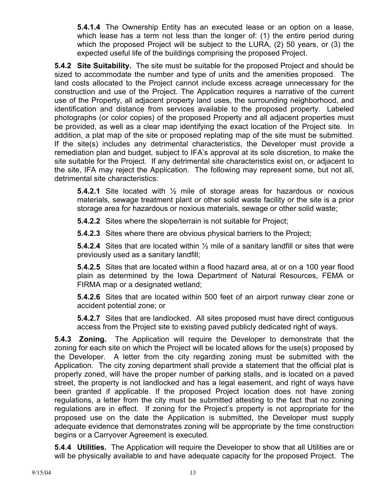**5.4.1.4** The Ownership Entity has an executed lease or an option on a lease, which lease has a term not less than the longer of: (1) the entire period during which the proposed Project will be subject to the LURA, (2) 50 years, or (3) the expected useful life of the buildings comprising the proposed Project.

**5.4.2 Site Suitability.** The site must be suitable for the proposed Project and should be sized to accommodate the number and type of units and the amenities proposed. The land costs allocated to the Project cannot include excess acreage unnecessary for the construction and use of the Project. The Application requires a narrative of the current use of the Property, all adjacent property land uses, the surrounding neighborhood, and identification and distance from services available to the proposed property. Labeled photographs (or color copies) of the proposed Property and all adjacent properties must be provided, as well as a clear map identifying the exact location of the Project site. In addition, a plat map of the site or proposed replating map of the site must be submitted. If the site(s) includes any detrimental characteristics, the Developer must provide a remediation plan and budget*,* subject to IFA's approval at its sole discretion*,* to make the site suitable for the Project. If any detrimental site characteristics exist on, or adjacent to the site, IFA may reject the Application.The following may represent some, but not all, detrimental site characteristics:

**5.4.2.1** Site located with ½ mile of storage areas for hazardous or noxious materials, sewage treatment plant or other solid waste facility or the site is a prior storage area for hazardous or noxious materials, sewage or other solid waste;

**5.4.2.2** Sites where the slope/terrain is not suitable for Project;

**5.4.2.3** Sites where there are obvious physical barriers to the Project;

**5.4.2.4** Sites that are located within ½ mile of a sanitary landfill or sites that were previously used as a sanitary landfill;

**5.4.2.5** Sites that are located within a flood hazard area, at or on a 100 year flood plain as determined by the Iowa Department of Natural Resources, FEMA or FIRMA map or a designated wetland;

**5.4.2.6** Sites that are located within 500 feet of an airport runway clear zone or accident potential zone; or

**5.4.2.7** Sites that are landlocked. All sites proposed must have direct contiguous access from the Project site to existing paved publicly dedicated right of ways.

**5.4.3 Zoning.** The Application will require the Developer to demonstrate that the zoning for each site on which the Project will be located allows for the use(s) proposed by the Developer. A letter from the city regarding zoning must be submitted with the Application. The city zoning department shall provide a statement that the official plat is properly zoned, will have the proper number of parking stalls, and is located on a paved street, the property is not landlocked and has a legal easement, and right of ways have been granted if applicable. If the proposed Project location does not have zoning regulations, a letter from the city must be submitted attesting to the fact that no zoning regulations are in effect. If zoning for the Project's property is not appropriate for the proposed use on the date the Application is submitted, the Developer must supply adequate evidence that demonstrates zoning will be appropriate by the time construction begins or a Carryover Agreement is executed.

**5.4.4 Utilities.** The Application will require the Developer to show that all Utilities are or will be physically available to and have adequate capacity for the proposed Project. The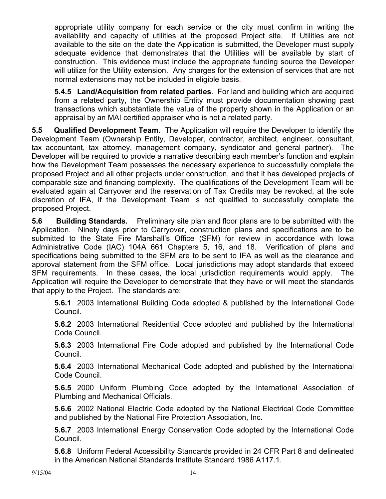appropriate utility company for each service or the city must confirm in writing the availability and capacity of utilities at the proposed Project site. If Utilities are not available to the site on the date the Application is submitted, the Developer must supply adequate evidence that demonstrates that the Utilities will be available by start of construction. This evidence must include the appropriate funding source the Developer will utilize for the Utility extension. Any charges for the extension of services that are not normal extensions may not be included in eligible basis.

**5.4.5 Land/Acquisition from related parties**. For land and building which are acquired from a related party, the Ownership Entity must provide documentation showing past transactions which substantiate the value of the property shown in the Application or an appraisal by an MAI certified appraiser who is not a related party.

**5.5 Qualified Development Team.** The Application will require the Developer to identify the Development Team (Ownership Entity, Developer, contractor, architect, engineer, consultant, tax accountant, tax attorney, management company, syndicator and general partner). The Developer will be required to provide a narrative describing each member's function and explain how the Development Team possesses the necessary experience to successfully complete the proposed Project and all other projects under construction, and that it has developed projects of comparable size and financing complexity. The qualifications of the Development Team will be evaluated again at Carryover and the reservation of Tax Credits may be revoked, at the sole discretion of IFA, if the Development Team is not qualified to successfully complete the proposed Project.

**5.6 Building Standards.** Preliminary site plan and floor plans are to be submitted with the Application. Ninety days prior to Carryover, construction plans and specifications are to be submitted to the State Fire Marshall's Office (SFM) for review in accordance with Iowa Administrative Code (IAC) 104A 661 Chapters 5, 16, and 18. Verification of plans and specifications being submitted to the SFM are to be sent to IFA as well as the clearance and approval statement from the SFM office. Local jurisdictions may adopt standards that exceed SFM requirements. In these cases, the local jurisdiction requirements would apply. The Application will require the Developer to demonstrate that they have or will meet the standards that apply to the Project. The standards are:

**5.6.1** 2003 International Building Code adopted & published by the International Code Council.

**5.6.2** 2003 International Residential Code adopted and published by the International Code Council.

**5.6.3** 2003 International Fire Code adopted and published by the International Code Council.

**5.6.4** 2003 International Mechanical Code adopted and published by the International Code Council.

**5.6.5** 2000 Uniform Plumbing Code adopted by the International Association of Plumbing and Mechanical Officials.

**5.6.6** 2002 National Electric Code adopted by the National Electrical Code Committee and published by the National Fire Protection Association, Inc.

**5.6.7** 2003 International Energy Conservation Code adopted by the International Code Council.

**5.6.8** Uniform Federal Accessibility Standards provided in 24 CFR Part 8 and delineated in the American National Standards Institute Standard 1986 A117.1.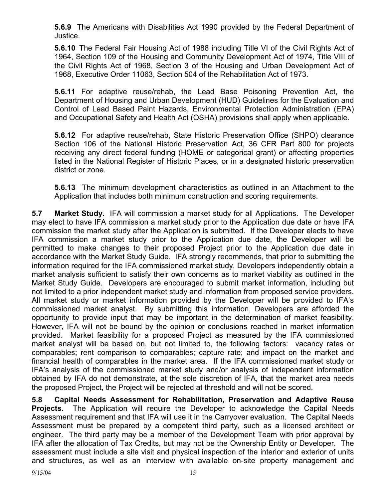**5.6.9** The Americans with Disabilities Act 1990 provided by the Federal Department of Justice.

**5.6.10** The Federal Fair Housing Act of 1988 including Title VI of the Civil Rights Act of 1964, Section 109 of the Housing and Community Development Act of 1974, Title VIII of the Civil Rights Act of 1968, Section 3 of the Housing and Urban Development Act of 1968, Executive Order 11063, Section 504 of the Rehabilitation Act of 1973.

**5.6.11** For adaptive reuse/rehab, the Lead Base Poisoning Prevention Act, the Department of Housing and Urban Development (HUD) Guidelines for the Evaluation and Control of Lead Based Paint Hazards, Environmental Protection Administration (EPA) and Occupational Safety and Health Act (OSHA) provisions shall apply when applicable.

**5.6.12** For adaptive reuse/rehab, State Historic Preservation Office (SHPO) clearance Section 106 of the National Historic Preservation Act, 36 CFR Part 800 for projects receiving any direct federal funding (HOME or categorical grant) or affecting properties listed in the National Register of Historic Places, or in a designated historic preservation district or zone.

**5.6.13** The minimum development characteristics as outlined in an Attachment to the Application that includes both minimum construction and scoring requirements.

**5.7 Market Study.** IFA will commission a market study for all Applications. The Developer may elect to have IFA commission a market study prior to the Application due date or have IFA commission the market study after the Application is submitted. If the Developer elects to have IFA commission a market study prior to the Application due date, the Developer will be permitted to make changes to their proposed Project prior to the Application due date in accordance with the Market Study Guide. IFA strongly recommends, that prior to submitting the information required for the IFA commissioned market study, Developers independently obtain a market analysis sufficient to satisfy their own concerns as to market viability as outlined in the Market Study Guide. Developers are encouraged to submit market information, including but not limited to a prior independent market study and information from proposed service providers. All market study or market information provided by the Developer will be provided to IFA's commissioned market analyst. By submitting this information, Developers are afforded the opportunity to provide input that may be important in the determination of market feasibility. However, IFA will not be bound by the opinion or conclusions reached in market information provided. Market feasibility for a proposed Project as measured by the IFA commissioned market analyst will be based on, but not limited to, the following factors: vacancy rates or comparables; rent comparison to comparables; capture rate; and impact on the market and financial health of comparables in the market area. If the IFA commissioned market study or IFA's analysis of the commissioned market study and/or analysis of independent information obtained by IFA do not demonstrate, at the sole discretion of IFA, that the market area needs the proposed Project, the Project will be rejected at threshold and will not be scored.

**5.8 Capital Needs Assessment for Rehabilitation, Preservation and Adaptive Reuse Projects.** The Application will require the Developer to acknowledge the Capital Needs Assessment requirement and that IFA will use it in the Carryover evaluation. The Capital Needs Assessment must be prepared by a competent third party, such as a licensed architect or engineer. The third party may be a member of the Development Team with prior approval by IFA after the allocation of Tax Credits, but may not be the Ownership Entity or Developer. The assessment must include a site visit and physical inspection of the interior and exterior of units and structures, as well as an interview with available on-site property management and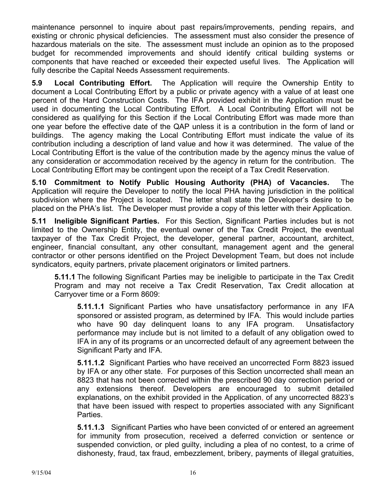maintenance personnel to inquire about past repairs/improvements, pending repairs, and existing or chronic physical deficiencies. The assessment must also consider the presence of hazardous materials on the site. The assessment must include an opinion as to the proposed budget for recommended improvements and should identify critical building systems or components that have reached or exceeded their expected useful lives. The Application will fully describe the Capital Needs Assessment requirements.

**5.9 Local Contributing Effort.** The Application will require the Ownership Entity to document a Local Contributing Effort by a public or private agency with a value of at least one percent of the Hard Construction Costs. The IFA provided exhibit in the Application must be used in documenting the Local Contributing Effort. A Local Contributing Effort will not be considered as qualifying for this Section if the Local Contributing Effort was made more than one year before the effective date of the QAP unless it is a contribution in the form of land or buildings. The agency making the Local Contributing Effort must indicate the value of its contribution including a description of land value and how it was determined. The value of the Local Contributing Effort is the value of the contribution made by the agency minus the value of any consideration or accommodation received by the agency in return for the contribution. The Local Contributing Effort may be contingent upon the receipt of a Tax Credit Reservation.

**5.10 Commitment to Notify Public Housing Authority (PHA) of Vacancies.** The Application will require the Developer to notify the local PHA having jurisdiction in the political subdivision where the Project is located. The letter shall state the Developer's desire to be placed on the PHA's list. The Developer must provide a copy of this letter with their Application.

**5.11 Ineligible Significant Parties.** For this Section, Significant Parties includes but is not limited to the Ownership Entity, the eventual owner of the Tax Credit Project, the eventual taxpayer of the Tax Credit Project, the developer, general partner, accountant, architect, engineer, financial consultant, any other consultant, management agent and the general contractor or other persons identified on the Project Development Team, but does not include syndicators, equity partners, private placement originators or limited partners.

**5.11.1** The following Significant Parties may be ineligible to participate in the Tax Credit Program and may not receive a Tax Credit Reservation, Tax Credit allocation at Carryover time or a Form 8609:

**5.11.1.1** Significant Parties who have unsatisfactory performance in any IFA sponsored or assisted program, as determined by IFA. This would include parties who have 90 day delinquent loans to any IFA program. Unsatisfactory performance may include but is not limited to a default of any obligation owed to IFA in any of its programs or an uncorrected default of any agreement between the Significant Party and IFA.

**5.11.1.2** Significant Parties who have received an uncorrected Form 8823 issued by IFA or any other state. For purposes of this Section uncorrected shall mean an 8823 that has not been corrected within the prescribed 90 day correction period or any extensions thereof. Developers are encouraged to submit detailed explanations, on the exhibit provided in the Application, of any uncorrected 8823's that have been issued with respect to properties associated with any Significant Parties.

**5.11.1.3** Significant Parties who have been convicted of or entered an agreement for immunity from prosecution, received a deferred conviction or sentence or suspended conviction, or pled guilty, including a plea of no contest, to a crime of dishonesty, fraud, tax fraud, embezzlement, bribery, payments of illegal gratuities,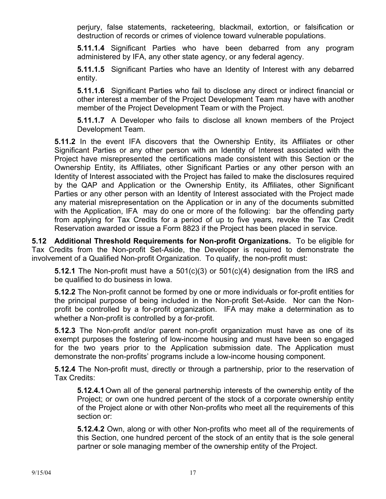perjury, false statements, racketeering, blackmail, extortion, or falsification or destruction of records or crimes of violence toward vulnerable populations.

**5.11.1.4** Significant Parties who have been debarred from any program administered by IFA, any other state agency, or any federal agency.

**5.11.1.5** Significant Parties who have an Identity of Interest with any debarred entity.

**5.11.1.6** Significant Parties who fail to disclose any direct or indirect financial or other interest a member of the Project Development Team may have with another member of the Project Development Team or with the Project.

**5.11.1.7** A Developer who fails to disclose all known members of the Project Development Team.

**5.11.2** In the event IFA discovers that the Ownership Entity, its Affiliates or other Significant Parties or any other person with an Identity of Interest associated with the Project have misrepresented the certifications made consistent with this Section or the Ownership Entity, its Affiliates, other Significant Parties or any other person with an Identity of Interest associated with the Project has failed to make the disclosures required by the QAP and Application or the Ownership Entity, its Affiliates, other Significant Parties or any other person with an Identity of Interest associated with the Project made any material misrepresentation on the Application or in any of the documents submitted with the Application, IFA may do one or more of the following: bar the offending party from applying for Tax Credits for a period of up to five years, revoke the Tax Credit Reservation awarded or issue a Form 8823 if the Project has been placed in service.

**5.12 Additional Threshold Requirements for Non-profit Organizations.** To be eligible for Tax Credits from the Non-profit Set-Aside, the Developer is required to demonstrate the involvement of a Qualified Non-profit Organization. To qualify, the non-profit must:

**5.12.1** The Non-profit must have a 501(c)(3) or 501(c)(4) designation from the IRS and be qualified to do business in Iowa.

**5.12.2** The Non-profit cannot be formed by one or more individuals or for-profit entities for the principal purpose of being included in the Non-profit Set-Aside. Nor can the Nonprofit be controlled by a for-profit organization. IFA may make a determination as to whether a Non-profit is controlled by a for-profit.

**5.12.3** The Non-profit and/or parent non-profit organization must have as one of its exempt purposes the fostering of low-income housing and must have been so engaged for the two years prior to the Application submission date. The Application must demonstrate the non-profits' programs include a low-income housing component.

**5.12.4** The Non-profit must, directly or through a partnership, prior to the reservation of Tax Credits:

**5.12.4.1** Own all of the general partnership interests of the ownership entity of the Project; or own one hundred percent of the stock of a corporate ownership entity of the Project alone or with other Non-profits who meet all the requirements of this section or:

**5.12.4.2** Own, along or with other Non-profits who meet all of the requirements of this Section, one hundred percent of the stock of an entity that is the sole general partner or sole managing member of the ownership entity of the Project.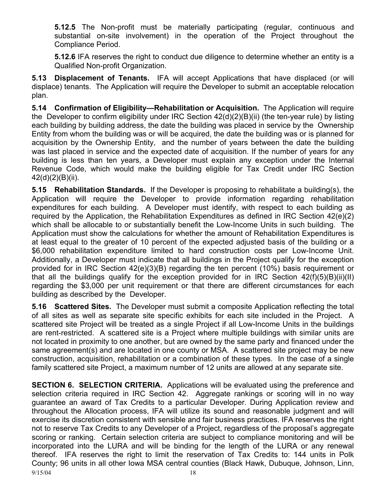**5.12.5** The Non-profit must be materially participating (regular, continuous and substantial on-site involvement) in the operation of the Project throughout the Compliance Period.

**5.12.6** IFA reserves the right to conduct due diligence to determine whether an entity is a Qualified Non-profit Organization.

**5.13 Displacement of Tenants.** IFA will accept Applications that have displaced (or will displace) tenants. The Application will require the Developer to submit an acceptable relocation plan.

**5.14 Confirmation of Eligibility—Rehabilitation or Acquisition.** The Application will require the Developer to confirm eligibility under IRC Section 42(d)(2)(B)(ii) (the ten-year rule) by listing each building by building address, the date the building was placed in service by the Ownership Entity from whom the building was or will be acquired, the date the building was or is planned for acquisition by the Ownership Entity, and the number of years between the date the building was last placed in service and the expected date of acquisition. If the number of years for any building is less than ten years, a Developer must explain any exception under the Internal Revenue Code, which would make the building eligible for Tax Credit under IRC Section 42(d)(2)(B)(ii).

**5.15 Rehabilitation Standards.** If the Developer is proposing to rehabilitate a building(s), the Application will require the Developer to provide information regarding rehabilitation expenditures for each building. A Developer must identify, with respect to each building as required by the Application, the Rehabilitation Expenditures as defined in IRC Section 42(e)(2) which shall be allocable to or substantially benefit the Low-Income Units in such building. The Application must show the calculations for whether the amount of Rehabilitation Expenditures is at least equal to the greater of 10 percent of the expected adjusted basis of the building or a \$6,000 rehabilitation expenditure limited to hard construction costs per Low-Income Unit. Additionally, a Developer must indicate that all buildings in the Project qualify for the exception provided for in IRC Section 42(e)(3)(B) regarding the ten percent (10%) basis requirement or that all the buildings qualify for the exception provided for in IRC Section 42(f)(5)(B)(ii)(II) regarding the \$3,000 per unit requirement or that there are different circumstances for each building as described by the Developer.

**5.16 Scattered Sites.** The Developer must submit a composite Application reflecting the total of all sites as well as separate site specific exhibits for each site included in the Project. A scattered site Project will be treated as a single Project if all Low-Income Units in the buildings are rent-restricted. A scattered site is a Project where multiple buildings with similar units are not located in proximity to one another, but are owned by the same party and financed under the same agreement(s) and are located in one county or MSA. A scattered site project may be new construction, acquisition, rehabilitation or a combination of these types. In the case of a single family scattered site Project, a maximum number of 12 units are allowed at any separate site.

9/15/04 18 **SECTION 6. SELECTION CRITERIA.** Applications will be evaluated using the preference and selection criteria required in IRC Section 42. Aggregate rankings or scoring will in no way guarantee an award of Tax Credits to a particular Developer. During Application review and throughout the Allocation process, IFA will utilize its sound and reasonable judgment and will exercise its discretion consistent with sensible and fair business practices. IFA reserves the right not to reserve Tax Credits to any Developer of a Project, regardless of the proposal's aggregate scoring or ranking. Certain selection criteria are subject to compliance monitoring and will be incorporated into the LURA and will be binding for the length of the LURA or any renewal thereof. IFA reserves the right to limit the reservation of Tax Credits to: 144 units in Polk County; 96 units in all other Iowa MSA central counties (Black Hawk, Dubuque, Johnson, Linn,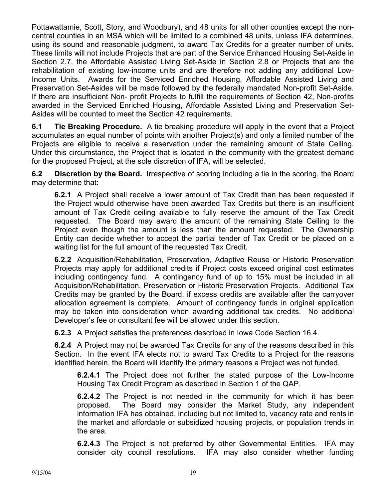Pottawattamie, Scott, Story, and Woodbury), and 48 units for all other counties except the noncentral counties in an MSA which will be limited to a combined 48 units, unless IFA determines, using its sound and reasonable judgment, to award Tax Credits for a greater number of units. These limits will not include Projects that are part of the Service Enhanced Housing Set-Aside in Section 2.7, the Affordable Assisted Living Set-Aside in Section 2.8 or Projects that are the rehabilitation of existing low-income units and are therefore not adding any additional Low-Income Units. Awards for the Serviced Enriched Housing, Affordable Assisted Living and Preservation Set-Asides will be made followed by the federally mandated Non-profit Set-Aside. If there are insufficient Non- profit Projects to fulfill the requirements of Section 42, Non-profits awarded in the Serviced Enriched Housing, Affordable Assisted Living and Preservation Set-Asides will be counted to meet the Section 42 requirements.

**6.1 Tie Breaking Procedure.** A tie breaking procedure will apply in the event that a Project accumulates an equal number of points with another Project(s) and only a limited number of the Projects are eligible to receive a reservation under the remaining amount of State Ceiling. Under this circumstance, the Project that is located in the community with the greatest demand for the proposed Project, at the sole discretion of IFA, will be selected.

**6.2 Discretion by the Board.** Irrespective of scoring including a tie in the scoring, the Board may determine that:

**6.2.1** A Project shall receive a lower amount of Tax Credit than has been requested if the Project would otherwise have been awarded Tax Credits but there is an insufficient amount of Tax Credit ceiling available to fully reserve the amount of the Tax Credit requested. The Board may award the amount of the remaining State Ceiling to the Project even though the amount is less than the amount requested. The Ownership Entity can decide whether to accept the partial tender of Tax Credit or be placed on a waiting list for the full amount of the requested Tax Credit.

**6.2.2** Acquisition/Rehabilitation, Preservation, Adaptive Reuse or Historic Preservation Projects may apply for additional credits if Project costs exceed original cost estimates including contingency fund. A contingency fund of up to 15% must be included in all Acquisition/Rehabilitation, Preservation or Historic Preservation Projects. Additional Tax Credits may be granted by the Board, if excess credits are available after the carryover allocation agreement is complete. Amount of contingency funds in original application may be taken into consideration when awarding additional tax credits. No additional Developer's fee or consultant fee will be allowed under this section.

**6.2.3** A Project satisfies the preferences described in Iowa Code Section 16.4.

**6.2.4** A Project may not be awarded Tax Credits for any of the reasons described in this Section. In the event IFA elects not to award Tax Credits to a Project for the reasons identified herein, the Board will identify the primary reasons a Project was not funded.

**6.2.4.1** The Project does not further the stated purpose of the Low-Income Housing Tax Credit Program as described in Section 1 of the QAP.

**6.2.4.2** The Project is not needed in the community for which it has been proposed. The Board may consider the Market Study, any independent information IFA has obtained, including but not limited to, vacancy rate and rents in the market and affordable or subsidized housing projects, or population trends in the area.

**6.2.4.3** The Project is not preferred by other Governmental Entities. IFA may consider city council resolutions. IFA may also consider whether funding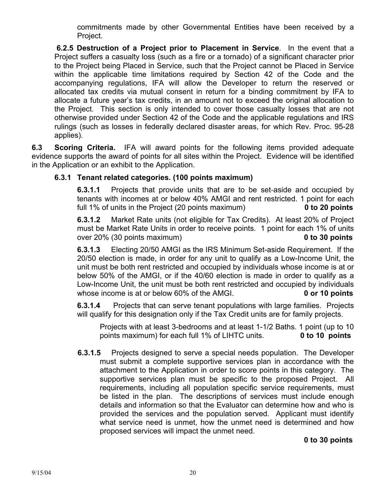commitments made by other Governmental Entities have been received by a Project.

**6.2.5 Destruction of a Project prior to Placement in Service**. In the event that a Project suffers a casualty loss (such as a fire or a tornado) of a significant character prior to the Project being Placed in Service, such that the Project cannot be Placed in Service within the applicable time limitations required by Section 42 of the Code and the accompanying regulations, IFA will allow the Developer to return the reserved or allocated tax credits via mutual consent in return for a binding commitment by IFA to allocate a future year's tax credits, in an amount not to exceed the original allocation to the Project. This section is only intended to cover those casualty losses that are not otherwise provided under Section 42 of the Code and the applicable regulations and IRS rulings (such as losses in federally declared disaster areas, for which Rev. Proc. 95-28 applies).

**6.3 Scoring Criteria.** IFA will award points for the following items provided adequate evidence supports the award of points for all sites within the Project. Evidence will be identified in the Application or an exhibit to the Application.

## **6.3.1 Tenant related categories. (100 points maximum)**

**6.3.1.1** Projects that provide units that are to be set-aside and occupied by tenants with incomes at or below 40% AMGI and rent restricted. 1 point for each full 1% of units in the Project (20 points maximum) **0 to 20 points** 

 **6.3.1.2** Market Rate units (not eligible for Tax Credits). At least 20% of Project must be Market Rate Units in order to receive points. 1 point for each 1% of units over 20% (30 points maximum) **0 to 30 points** 

**6.3.1.3** Electing 20/50 AMGI as the IRS Minimum Set-aside Requirement. If the 20/50 election is made, in order for any unit to qualify as a Low-Income Unit, the unit must be both rent restricted and occupied by individuals whose income is at or below 50% of the AMGI, or if the 40/60 election is made in order to qualify as a Low-Income Unit, the unit must be both rent restricted and occupied by individuals whose income is at or below 60% of the AMGI. **0 or 10 points** 

**6.3.1.4** Projects that can serve tenant populations with large families. Projects will qualify for this designation only if the Tax Credit units are for family projects.

 Projects with at least 3-bedrooms and at least 1-1/2 Baths. 1 point (up to 10 points maximum) for each full 1% of LIHTC units. **0 to 10 points** 

 **6.3.1.5** Projects designed to serve a special needs population. The Developer must submit a complete supportive services plan in accordance with the attachment to the Application in order to score points in this category. The supportive services plan must be specific to the proposed Project. All requirements, including all population specific service requirements, must be listed in the plan. The descriptions of services must include enough details and information so that the Evaluator can determine how and who is provided the services and the population served. Applicant must identify what service need is unmet, how the unmet need is determined and how proposed services will impact the unmet need.

## **0 to 30 points**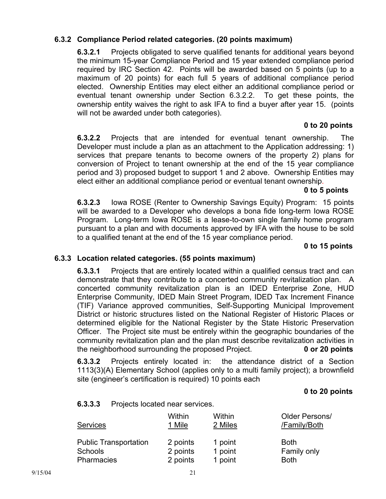## **6.3.2 Compliance Period related categories. (20 points maximum)**

 **6.3.2.1** Projects obligated to serve qualified tenants for additional years beyond the minimum 15-year Compliance Period and 15 year extended compliance period required by IRC Section 42. Points will be awarded based on 5 points (up to a maximum of 20 points) for each full 5 years of additional compliance period elected. Ownership Entities may elect either an additional compliance period or eventual tenant ownership under Section 6.3.2.2. To get these points, the ownership entity waives the right to ask IFA to find a buyer after year 15. (points will not be awarded under both categories).

#### **0 to 20 points**

**6.3.2.2** Projects that are intended for eventual tenant ownership. The Developer must include a plan as an attachment to the Application addressing: 1) services that prepare tenants to become owners of the property 2) plans for conversion of Project to tenant ownership at the end of the 15 year compliance period and 3) proposed budget to support 1 and 2 above. Ownership Entities may elect either an additional compliance period or eventual tenant ownership.

#### **0 to 5 points**

**6.3.2.3** Iowa ROSE (Renter to Ownership Savings Equity) Program: 15 points will be awarded to a Developer who develops a bona fide long-term Iowa ROSE Program. Long-term Iowa ROSE is a lease-to-own single family home program pursuant to a plan and with documents approved by IFA with the house to be sold to a qualified tenant at the end of the 15 year compliance period.

#### **0 to 15 points**

#### **6.3.3 Location related categories. (55 points maximum)**

**6.3.3.1** Projects that are entirely located within a qualified census tract and can demonstrate that they contribute to a concerted community revitalization plan. A concerted community revitalization plan is an IDED Enterprise Zone, HUD Enterprise Community, IDED Main Street Program, IDED Tax Increment Finance (TIF) Variance approved communities, Self-Supporting Municipal Improvement District or historic structures listed on the National Register of Historic Places or determined eligible for the National Register by the State Historic Preservation Officer. The Project site must be entirely within the geographic boundaries of the community revitalization plan and the plan must describe revitalization activities in the neighborhood surrounding the proposed Project. **0 or 20 points** 

**6.3.3.2** Projects entirely located in: the attendance district of a Section 1113(3)(A) Elementary School (applies only to a multi family project); a brownfield site (engineer's certification is required) 10 points each

#### **0 to 20 points**

#### **6.3.3.3** Projects located near services.

| <b>Services</b>              | Within   | Within  | Older Persons/ |
|------------------------------|----------|---------|----------------|
|                              | 1 Mile   | 2 Miles | /Family/Both   |
| <b>Public Transportation</b> | 2 points | 1 point | <b>Both</b>    |
| <b>Schools</b>               | 2 points | 1 point | Family only    |
| Pharmacies                   | 2 points | 1 point | <b>Both</b>    |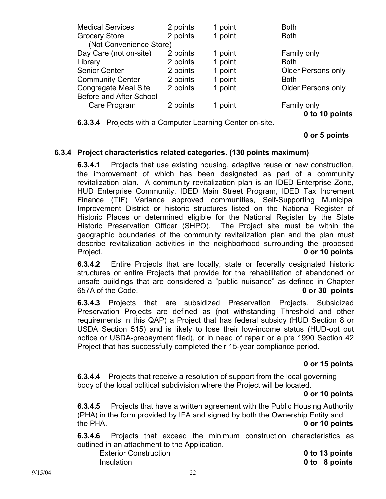| <b>Medical Services</b>     | 2 points | 1 point | <b>Both</b>               |
|-----------------------------|----------|---------|---------------------------|
| <b>Grocery Store</b>        | 2 points | 1 point | <b>Both</b>               |
| (Not Convenience Store)     |          |         |                           |
| Day Care (not on-site)      | 2 points | 1 point | Family only               |
| Library                     | 2 points | 1 point | <b>Both</b>               |
| <b>Senior Center</b>        | 2 points | 1 point | <b>Older Persons only</b> |
| <b>Community Center</b>     | 2 points | 1 point | <b>Both</b>               |
| <b>Congregate Meal Site</b> | 2 points | 1 point | <b>Older Persons only</b> |
| Before and After School     |          |         |                           |
| Care Program                | 2 points | 1 point | Family only               |
|                             |          |         | 0 to 10 points            |

**6.3.3.4** Projects with a Computer Learning Center on-site.

### **0 or 5 points**

#### **6.3.4 Project characteristics related categories. (130 points maximum)**

**6.3.4.1** Projects that use existing housing, adaptive reuse or new construction, the improvement of which has been designated as part of a community revitalization plan. A community revitalization plan is an IDED Enterprise Zone, HUD Enterprise Community, IDED Main Street Program, IDED Tax Increment Finance (TIF) Variance approved communities, Self-Supporting Municipal Improvement District or historic structures listed on the National Register of Historic Places or determined eligible for the National Register by the State Historic Preservation Officer (SHPO). The Project site must be within the geographic boundaries of the community revitalization plan and the plan must describe revitalization activities in the neighborhood surrounding the proposed Project. **0 or 10 points**

**6.3.4.2** Entire Projects that are locally, state or federally designated historic structures or entire Projects that provide for the rehabilitation of abandoned or unsafe buildings that are considered a "public nuisance" as defined in Chapter 657A of the Code. **0 or 30 points** 

**6.3.4.3** Projects that are subsidized Preservation Projects. Subsidized Preservation Projects are defined as (not withstanding Threshold and other requirements in this QAP) a Project that has federal subsidy (HUD Section 8 or USDA Section 515) and is likely to lose their low-income status (HUD-opt out notice or USDA-prepayment filed), or in need of repair or a pre 1990 Section 42 Project that has successfully completed their 15-year compliance period.

#### **0 or 15 points**

**6.3.4.4** Projects that receive a resolution of support from the local governing body of the local political subdivision where the Project will be located.

#### **0 or 10 points**

**6.3.4.5** Projects that have a written agreement with the Public Housing Authority (PHA) in the form provided by IFA and signed by both the Ownership Entity and the PHA. **0 or 10 points** 

**6.3.4.6** Projects that exceed the minimum construction characteristics as outlined in an attachment to the Application.

Exterior Construction **0 to 13 points** 

Insulation **0 to 8 points**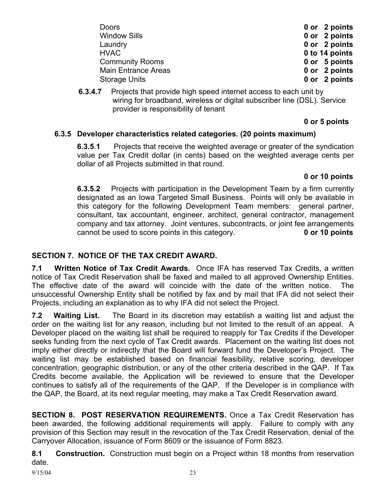| <b>Doors</b>               | 0 or 2 points  |
|----------------------------|----------------|
| <b>Window Sills</b>        | 0 or 2 points  |
| Laundry                    | 0 or 2 points  |
| <b>HVAC</b>                | 0 to 14 points |
| <b>Community Rooms</b>     | 0 or 5 points  |
| <b>Main Entrance Areas</b> | 0 or 2 points  |
| <b>Storage Units</b>       | 0 or 2 points  |

**6.3.4.7** Projects that provide high speed internet access to each unit by wiring for broadband, wireless or digital subscriber line (DSL). Service provider is responsibility of tenant

## **0 or 5 points**

## **6.3.5 Developer characteristics related categories. (20 points maximum)**

**6.3.5**.**1** Projects that receive the weighted average or greater of the syndication value per Tax Credit dollar (in cents) based on the weighted average cents per dollar of all Projects submitted in that round.

## **0 or 10 points**

**6.3.5.2** Projects with participation in the Development Team by a firm currently designated as an Iowa Targeted Small Business. Points will only be available in this category for the following Development Team members: general partner, consultant, tax accountant, engineer, architect, general contractor, management company and tax attorney. Joint ventures, subcontracts, or joint fee arrangements cannot be used to score points in this category. **0 or 10 points** 

## **SECTION 7. NOTICE OF THE TAX CREDIT AWARD.**

**7.1 Written Notice of Tax Credit Awards.** Once IFA has reserved Tax Credits, a written notice of Tax Credit Reservation shall be faxed and mailed to all approved Ownership Entities. The effective date of the award will coincide with the date of the written notice. The unsuccessful Ownership Entity shall be notified by fax and by mail that IFA did not select their Projects, including an explanation as to why IFA did not select the Project.

**7.2 Waiting List.** The Board in its discretion may establish a waiting list and adjust the order on the waiting list for any reason, including but not limited to the result of an appeal. A Developer placed on the waiting list shall be required to reapply for Tax Credits if the Developer seeks funding from the next cycle of Tax Credit awards. Placement on the waiting list does not imply either directly or indirectly that the Board will forward fund the Developer's Project. The waiting list may be established based on financial feasibility, relative scoring, developer concentration, geographic distribution, or any of the other criteria described in the QAP. If Tax Credits become available, the Application will be reviewed to ensure that the Developer continues to satisfy all of the requirements of the QAP. If the Developer is in compliance with the QAP, the Board, at its next regular meeting, may make a Tax Credit Reservation award.

**SECTION 8. POST RESERVATION REQUIREMENTS.** Once a Tax Credit Reservation has been awarded, the following additional requirements will apply. Failure to comply with any provision of this Section may result in the revocation of the Tax Credit Reservation, denial of the Carryover Allocation, issuance of Form 8609 or the issuance of Form 8823.

**8.1 Construction.** Construction must begin on a Project within 18 months from reservation date.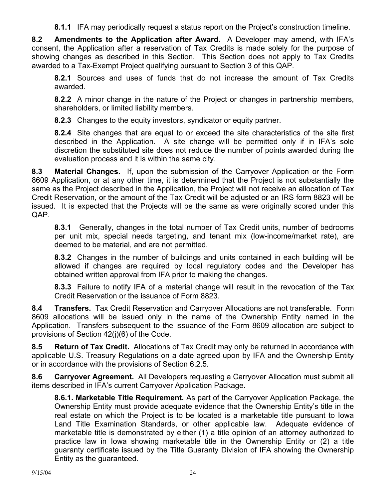**8.1.1** IFA may periodically request a status report on the Project's construction timeline.

**8.2 Amendments to the Application after Award.** A Developer may amend, with IFA's consent, the Application after a reservation of Tax Credits is made solely for the purpose of showing changes as described in this Section. This Section does not apply to Tax Credits awarded to a Tax-Exempt Project qualifying pursuant to Section 3 of this QAP.

**8.2.1** Sources and uses of funds that do not increase the amount of Tax Credits awarded.

**8.2.2** A minor change in the nature of the Project or changes in partnership members, shareholders, or limited liability members.

**8.2.3** Changes to the equity investors, syndicator or equity partner.

**8.2.4** Site changes that are equal to or exceed the site characteristics of the site first described in the Application. A site change will be permitted only if in IFA's sole discretion the substituted site does not reduce the number of points awarded during the evaluation process and it is within the same city.

**8.3 Material Changes.** If, upon the submission of the Carryover Application or the Form 8609 Application, or at any other time, it is determined that the Project is not substantially the same as the Project described in the Application, the Project will not receive an allocation of Tax Credit Reservation, or the amount of the Tax Credit will be adjusted or an IRS form 8823 will be issued. It is expected that the Projects will be the same as were originally scored under this QAP.

**8.3.1** Generally, changes in the total number of Tax Credit units, number of bedrooms per unit mix, special needs targeting, and tenant mix (low-income/market rate), are deemed to be material, and are not permitted.

**8.3.2** Changes in the number of buildings and units contained in each building will be allowed if changes are required by local regulatory codes and the Developer has obtained written approval from IFA prior to making the changes.

**8.3.3** Failure to notify IFA of a material change will result in the revocation of the Tax Credit Reservation or the issuance of Form 8823.

**8.4 Transfers.** Tax Credit Reservation and Carryover Allocations are not transferable. Form 8609 allocations will be issued only in the name of the Ownership Entity named in the Application. Transfers subsequent to the issuance of the Form 8609 allocation are subject to provisions of Section 42(j)(6) of the Code.

**8.5 Return of Tax Credit.** Allocations of Tax Credit may only be returned in accordance with applicable U.S. Treasury Regulations on a date agreed upon by IFA and the Ownership Entity or in accordance with the provisions of Section 6.2.5.

**8.6 Carryover Agreement.** All Developers requesting a Carryover Allocation must submit all items described in IFA's current Carryover Application Package.

**8.6.1. Marketable Title Requirement.** As part of the Carryover Application Package, the Ownership Entity must provide adequate evidence that the Ownership Entity's title in the real estate on which the Project is to be located is a marketable title pursuant to Iowa Land Title Examination Standards, or other applicable law. Adequate evidence of marketable title is demonstrated by either (1) a title opinion of an attorney authorized to practice law in Iowa showing marketable title in the Ownership Entity or (2) a title guaranty certificate issued by the Title Guaranty Division of IFA showing the Ownership Entity as the guaranteed.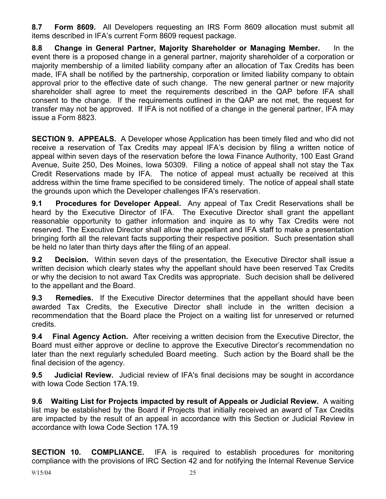**8.7 Form 8609.** All Developers requesting an IRS Form 8609 allocation must submit all items described in IFA's current Form 8609 request package.

**8.8 Change in General Partner, Majority Shareholder or Managing Member.** In the event there is a proposed change in a general partner, majority shareholder of a corporation or majority membership of a limited liability company after an allocation of Tax Credits has been made, IFA shall be notified by the partnership, corporation or limited liability company to obtain approval prior to the effective date of such change. The new general partner or new majority shareholder shall agree to meet the requirements described in the QAP before IFA shall consent to the change. If the requirements outlined in the QAP are not met, the request for transfer may not be approved. If IFA is not notified of a change in the general partner, IFA may issue a Form 8823.

**SECTION 9. APPEALS.** A Developer whose Application has been timely filed and who did not receive a reservation of Tax Credits may appeal IFA's decision by filing a written notice of appeal within seven days of the reservation before the Iowa Finance Authority, 100 East Grand Avenue, Suite 250, Des Moines, Iowa 50309. Filing a notice of appeal shall not stay the Tax Credit Reservations made by IFA. The notice of appeal must actually be received at this address within the time frame specified to be considered timely. The notice of appeal shall state the grounds upon which the Developer challenges IFA's reservation.

**9.1 Procedures for Developer Appeal.** Any appeal of Tax Credit Reservations shall be heard by the Executive Director of IFA. The Executive Director shall grant the appellant reasonable opportunity to gather information and inquire as to why Tax Credits were not reserved. The Executive Director shall allow the appellant and IFA staff to make a presentation bringing forth all the relevant facts supporting their respective position. Such presentation shall be held no later than thirty days after the filing of an appeal.

**9.2 Decision.** Within seven days of the presentation, the Executive Director shall issue a written decision which clearly states why the appellant should have been reserved Tax Credits or why the decision to not award Tax Credits was appropriate. Such decision shall be delivered to the appellant and the Board.

**9.3 Remedies.** If the Executive Director determines that the appellant should have been awarded Tax Credits, the Executive Director shall include in the written decision a recommendation that the Board place the Project on a waiting list for unreserved or returned credits.

**9.4 Final Agency Action.** After receiving a written decision from the Executive Director, the Board must either approve or decline to approve the Executive Director's recommendation no later than the next regularly scheduled Board meeting. Such action by the Board shall be the final decision of the agency.

**9.5 Judicial Review.** Judicial review of IFA's final decisions may be sought in accordance with Iowa Code Section 17A.19.

**9.6 Waiting List for Projects impacted by result of Appeals or Judicial Review.** A waiting list may be established by the Board if Projects that initially received an award of Tax Credits are impacted by the result of an appeal in accordance with this Section or Judicial Review in accordance with Iowa Code Section 17A.19

**SECTION 10. COMPLIANCE.** IFA is required to establish procedures for monitoring compliance with the provisions of IRC Section 42 and for notifying the Internal Revenue Service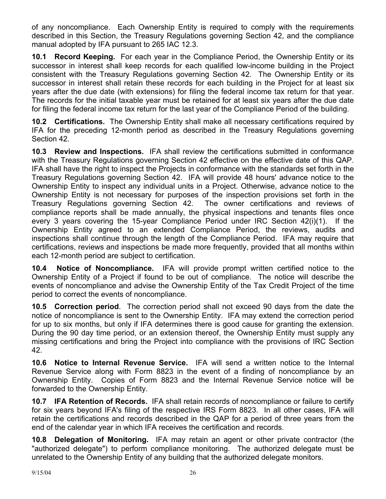of any noncompliance. Each Ownership Entity is required to comply with the requirements described in this Section, the Treasury Regulations governing Section 42, and the compliance manual adopted by IFA pursuant to 265 IAC 12.3.

**10.1 Record Keeping.** For each year in the Compliance Period, the Ownership Entity or its successor in interest shall keep records for each qualified low-income building in the Project consistent with the Treasury Regulations governing Section 42. The Ownership Entity or its successor in interest shall retain these records for each building in the Project for at least six years after the due date (with extensions) for filing the federal income tax return for that year. The records for the initial taxable year must be retained for at least six years after the due date for filing the federal income tax return for the last year of the Compliance Period of the building.

**10.2 Certifications.** The Ownership Entity shall make all necessary certifications required by IFA for the preceding 12-month period as described in the Treasury Regulations governing Section 42.

**10.3 Review and Inspections.** IFA shall review the certifications submitted in conformance with the Treasury Regulations governing Section 42 effective on the effective date of this QAP. IFA shall have the right to inspect the Projects in conformance with the standards set forth in the Treasury Regulations governing Section 42. IFA will provide 48 hours' advance notice to the Ownership Entity to inspect any individual units in a Project. Otherwise, advance notice to the Ownership Entity is not necessary for purposes of the inspection provisions set forth in the Treasury Regulations governing Section 42. The owner certifications and reviews of compliance reports shall be made annually, the physical inspections and tenants files once every 3 years covering the 15-year Compliance Period under IRC Section 42(i)(1). If the Ownership Entity agreed to an extended Compliance Period, the reviews, audits and inspections shall continue through the length of the Compliance Period. IFA may require that certifications, reviews and inspections be made more frequently, provided that all months within each 12-month period are subject to certification.

**10.4 Notice of Noncompliance.** IFA will provide prompt written certified notice to the Ownership Entity of a Project if found to be out of compliance. The notice will describe the events of noncompliance and advise the Ownership Entity of the Tax Credit Project of the time period to correct the events of noncompliance.

**10.5 Correction period**. The correction period shall not exceed 90 days from the date the notice of noncompliance is sent to the Ownership Entity. IFA may extend the correction period for up to six months, but only if IFA determines there is good cause for granting the extension. During the 90 day time period, or an extension thereof, the Ownership Entity must supply any missing certifications and bring the Project into compliance with the provisions of IRC Section 42.

**10.6 Notice to Internal Revenue Service.** IFA will send a written notice to the Internal Revenue Service along with Form 8823 in the event of a finding of noncompliance by an Ownership Entity. Copies of Form 8823 and the Internal Revenue Service notice will be forwarded to the Ownership Entity.

**10.7 IFA Retention of Records.** IFA shall retain records of noncompliance or failure to certify for six years beyond IFA's filing of the respective IRS Form 8823. In all other cases, IFA will retain the certifications and records described in the QAP for a period of three years from the end of the calendar year in which IFA receives the certification and records.

**10.8 Delegation of Monitoring.** IFA may retain an agent or other private contractor (the "authorized delegate") to perform compliance monitoring. The authorized delegate must be unrelated to the Ownership Entity of any building that the authorized delegate monitors.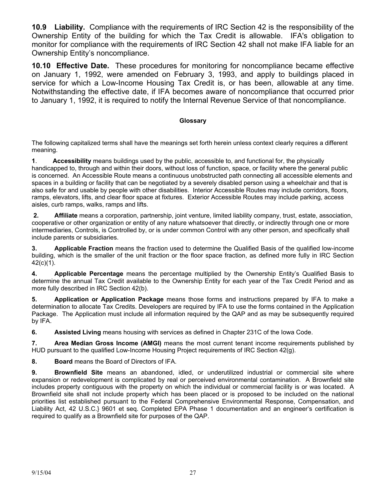**10.9 Liability.** Compliance with the requirements of IRC Section 42 is the responsibility of the Ownership Entity of the building for which the Tax Credit is allowable. IFA's obligation to monitor for compliance with the requirements of IRC Section 42 shall not make IFA liable for an Ownership Entity's noncompliance.

**10.10 Effective Date.** These procedures for monitoring for noncompliance became effective on January 1, 1992, were amended on February 3, 1993, and apply to buildings placed in service for which a Low-Income Housing Tax Credit is, or has been, allowable at any time. Notwithstanding the effective date, if IFA becomes aware of noncompliance that occurred prior to January 1, 1992, it is required to notify the Internal Revenue Service of that noncompliance.

#### **Glossary**

The following capitalized terms shall have the meanings set forth herein unless context clearly requires a different meaning.

**1**. **Accessibility** means buildings used by the public, accessible to, and functional for, the physically handicapped to, through and within their doors, without loss of function, space, or facility where the general public is concerned. An Accessible Route means a continuous unobstructed path connecting all accessible elements and spaces in a building or facility that can be negotiated by a severely disabled person using a wheelchair and that is also safe for and usable by people with other disabilities. Interior Accessible Routes may include corridors, floors, ramps, elevators, lifts, and clear floor space at fixtures. Exterior Accessible Routes may include parking, access aisles, curb ramps, walks, ramps and lifts.

**2. Affiliate** means a corporation, partnership, joint venture, limited liability company, trust, estate, association, cooperative or other organization or entity of any nature whatsoever that directly, or indirectly through one or more intermediaries, Controls, is Controlled by, or is under common Control with any other person, and specifically shall include parents or subsidiaries.

**3. Applicable Fraction** means the fraction used to determine the Qualified Basis of the qualified low-income building, which is the smaller of the unit fraction or the floor space fraction, as defined more fully in IRC Section 42(c)(1).

**4. Applicable Percentage** means the percentage multiplied by the Ownership Entity's Qualified Basis to determine the annual Tax Credit available to the Ownership Entity for each year of the Tax Credit Period and as more fully described in IRC Section 42(b).

**5. Application or Application Package** means those forms and instructions prepared by IFA to make a determination to allocate Tax Credits. Developers are required by IFA to use the forms contained in the Application Package. The Application must include all information required by the QAP and as may be subsequently required by IFA.

**6.** Assisted Living means housing with services as defined in Chapter 231C of the Iowa Code.

**7. Area Median Gross Income (AMGI)** means the most current tenant income requirements published by HUD pursuant to the qualified Low-Income Housing Project requirements of IRC Section 42(g).

**8. Board** means the Board of Directors of IFA.

**9. Brownfield Site** means an abandoned, idled, or underutilized industrial or commercial site where expansion or redevelopment is complicated by real or perceived environmental contamination. A Brownfield site includes property contiguous with the property on which the individual or commercial facility is or was located. A Brownfield site shall not include property which has been placed or is proposed to be included on the national priorities list established pursuant to the Federal Comprehensive Environmental Response, Compensation, and Liability Act, 42 U.S.C.} 9601 et seq. Completed EPA Phase 1 documentation and an engineer's certification is required to qualify as a Brownfield site for purposes of the QAP.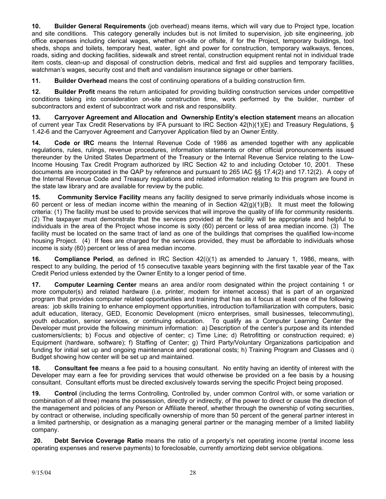**10. Builder General Requirements** (job overhead) means items, which will vary due to Project type, location and site conditions. This category generally includes but is not limited to supervision, job site engineering, job office expenses including clerical wages, whether on-site or offsite, if for the Project, temporary buildings, tool sheds, shops and toilets, temporary heat, water, light and power for construction, temporary walkways, fences, roads, siding and docking facilities, sidewalk and street rental, construction equipment rental not in individual trade item costs, clean-up and disposal of construction debris, medical and first aid supplies and temporary facilities, watchman's wages, security cost and theft and vandalism insurance signage or other barriers.

**11. Builder Overhead** means the cost of continuing operations of a building construction firm.

**12. Builder Profit** means the return anticipated for providing building construction services under competitive conditions taking into consideration on-site construction time, work performed by the builder, number of subcontractors and extent of subcontract work and risk and responsibility.

**13. Carryover Agreement and Allocation and Ownership Entity's election statement** means an allocation of current year Tax Credit Reservations by IFA pursuant to IRC Section 42(h)(1)(E) and Treasury Regulations, § 1.42-6 and the Carryover Agreement and Carryover Application filed by an Owner Entity.

**14. Code or IRC** means the Internal Revenue Code of 1986 as amended together with any applicable regulations, rules, rulings, revenue procedures, information statements or other official pronouncements issued thereunder by the United States Department of the Treasury or the Internal Revenue Service relating to the Low-Income Housing Tax Credit Program authorized by IRC Section 42 to and including October 10, 2001. These documents are incorporated in the QAP by reference and pursuant to 265 IAC §§ 17.4(2) and 17.12(2). A copy of the Internal Revenue Code and Treasury regulations and related information relating to this program are found in the state law library and are available for review by the public.

**15. Community Service Facility** means any facility designed to serve primarily individuals whose income is 60 percent or less of median income within the meaning of in Section 42(g)(1)(B). It must meet the following criteria: (1) The facility must be used to provide services that will improve the quality of life for community residents. (2) The taxpayer must demonstrate that the services provided at the facility will be appropriate and helpful to individuals in the area of the Project whose income is sixty (60) percent or less of area median income. (3) The facility must be located on the same tract of land as one of the buildings that comprises the qualified low-income housing Project. (4) If fees are charged for the services provided, they must be affordable to individuals whose income is sixty (60) percent or less of area median income.

**16. Compliance Period**, as defined in IRC Section 42(i)(1) as amended to January 1, 1986, means, with respect to any building, the period of 15 consecutive taxable years beginning with the first taxable year of the Tax Credit Period unless extended by the Owner Entity to a longer period of time.

**17. Computer Learning Center** means an area and/or room designated within the project containing 1 or more computer(s) and related hardware (i.e. printer, modem for internet access) that is part of an organized program that provides computer related opportunities and training that has as it focus at least one of the following areas: job skills training to enhance employment opportunities, introduction to/familiarization with computers, basic adult education, literacy, GED, Economic Development (micro enterprises, small businesses, telecommuting), youth education, senior services, or continuing education. To qualify as a Computer Learning Center the Developer must provide the following minimum information: a) Description of the center's purpose and its intended customers/clients; b) Focus and objective of center; c) Time Line; d) Retrofitting or construction required; e) Equipment (hardware, software); f) Staffing of Center; g) Third Party/Voluntary Organizations participation and funding for initial set up and ongoing maintenance and operational costs; h) Training Program and Classes and i) Budget showing how center will be set up and maintained.

**18. Consultant fee** means a fee paid to a housing consultant. No entity having an identity of interest with the Developer may earn a fee for providing services that would otherwise be provided on a fee basis by a housing consultant. Consultant efforts must be directed exclusively towards serving the specific Project being proposed.

**19. Control** (including the terms Controlling, Controlled by, under common Control with, or some variation or combination of all three) means the possession, directly or indirectly, of the power to direct or cause the direction of the management and policies of any Person or Affiliate thereof, whether through the ownership of voting securities, by contract or otherwise, including specifically ownership of more than 50 percent of the general partner interest in a limited partnership, or designation as a managing general partner or the managing member of a limited liability company.

**20. Debt Service Coverage Ratio** means the ratio of a property's net operating income (rental income less operating expenses and reserve payments) to foreclosable, currently amortizing debt service obligations.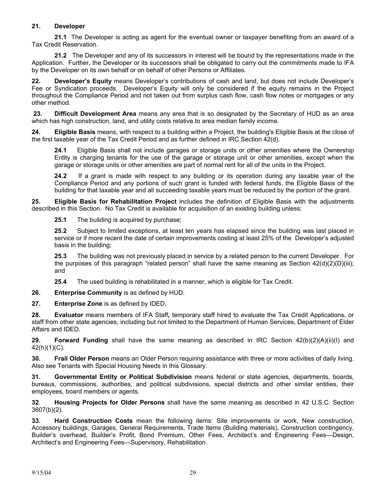#### **21. Developer**

**21.1** The Developer is acting as agent for the eventual owner or taxpayer benefiting from an award of a Tax Credit Reservation.

**21.2** The Developer and any of its successors in interest will be bound by the representations made in the Application. Further, the Developer or its successors shall be obligated to carry out the commitments made to IFA by the Developer on its own behalf or on behalf of other Persons or Affiliates.

**22. Developer's Equity** means Developer's contributions of cash and land, but does not include Developer's Fee or Syndication proceeds. Developer's Equity will only be considered if the equity remains in the Project throughout the Compliance Period and not taken out from surplus cash flow, cash flow notes or mortgages or any other method.

**23. Difficult Development Area** means any area that is so designated by the Secretary of HUD as an area which has high construction, land, and utility costs relative to area median family income.

**24. Eligible Basis** means, with respect to a building within a Project, the building's Eligible Basis at the close of the first taxable year of the Tax Credit Period and as further defined in IRC Section 42(d).

**24.1** Eligible Basis shall not include garages or storage units or other amenities where the Ownership Entity is charging tenants for the use of the garage or storage unit or other amenities, except when the garage or storage units or other amenities are part of normal rent for all of the units in the Project.

**24.2** If a grant is made with respect to any building or its operation during any taxable year of the Compliance Period and any portions of such grant is funded with federal funds, the Eligible Basis of the building for that taxable year and all succeeding taxable years must be reduced by the portion of the grant.

**25. Eligible Basis for Rehabilitation Project** includes the definition of Eligible Basis with the adjustments described in this Section. No Tax Credit is available for acquisition of an existing building unless:

**25.1** The building is acquired by purchase;

**25.2** Subject to limited exceptions, at least ten years has elapsed since the building was last placed in service or if more recent the date of certain improvements costing at least 25% of the Developer's adjusted basis in the building;

**25.3** The building was not previously placed in service by a related person to the current Developer. For the purposes of this paragraph "related person" shall have the same meaning as Section 42(d)(2)(D)(iii); and

**25.4** The used building is rehabilitated in a manner, which is eligible for Tax Credit.

**26. Enterprise Community** is as defined by HUD.

**27. Enterprise Zone** is as defined by IDED.

**28. Evaluator** means members of IFA Staff*,* temporary staff hired to evaluate the Tax Credit Applications, or staff from other state agencies, including but not limited to the Department of Human Services, Department of Elder Affairs and IDED.

**29. Forward Funding** shall have the same meaning as described in IRC Section 42(b)(2)(A)(ii)(I) and 42(h)(1)(C).

**30. Frail Older Person** means an Older Person requiring assistance with three or more activities of daily living. Also see Tenants with Special Housing Needs in this Glossary.

**31. Governmental Entity or Political Subdivision** means federal or state agencies, departments, boards, bureaus, commissions, authorities, and political subdivisions, special districts and other similar entities, their employees, board members or agents.

**32**. **Housing Projects for Older Persons** shall have the same meaning as described in 42 U.S.C. Section 3607(b)(2).

**33. Hard Construction Costs** mean the following items: Site improvements or work, New construction, Accessory buildings, Garages, General Requirements, Trade Items (Building materials), Construction contingency, Builder's overhead, Builder's Profit, Bond Premium, Other Fees, Architect's and Engineering Fees—Design, Architect's and Engineering Fees—Supervisory, Rehabilitation.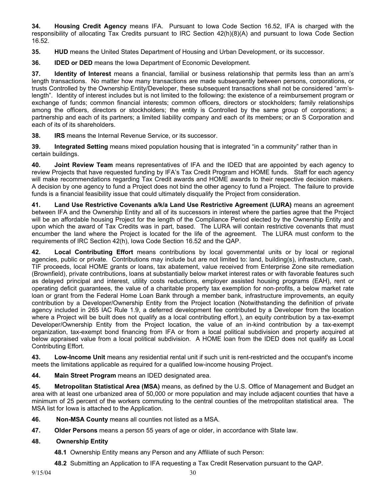**34. Housing Credit Agency** means IFA. Pursuant to Iowa Code Section 16.52, IFA is charged with the responsibility of allocating Tax Credits pursuant to IRC Section 42(h)(8)(A) and pursuant to Iowa Code Section 16.52.

**35. HUD** means the United States Department of Housing and Urban Development, or its successor.

**36. IDED or DED** means the Iowa Department of Economic Development.

**37. Identity of Interest** means a financial, familial or business relationship that permits less than an arm's length transactions. No matter how many transactions are made subsequently between persons, corporations, or trusts Controlled by the Ownership Entity/Developer, these subsequent transactions shall not be considered "arm'slength". Identity of interest includes but is not limited to the following: the existence of a reimbursement program or exchange of funds; common financial interests; common officers, directors or stockholders; family relationships among the officers, directors or stockholders; the entity is Controlled by the same group of corporations; a partnership and each of its partners; a limited liability company and each of its members; or an S Corporation and each of its of its shareholders.

**38. IRS** means the Internal Revenue Service, or its successor.

**39. Integrated Setting** means mixed population housing that is integrated "in a community" rather than in certain buildings.

**40. Joint Review Team** means representatives of IFA and the IDED that are appointed by each agency to review Projects that have requested funding by IFA's Tax Credit Program and HOME funds. Staff for each agency will make recommendations regarding Tax Credit awards and HOME awards to their respective decision makers. A decision by one agency to fund a Project does not bind the other agency to fund a Project. The failure to provide funds is a financial feasibility issue that could ultimately disqualify the Project from consideration.

**41. Land Use Restrictive Covenants a/k/a Land Use Restrictive Agreement (LURA)** means an agreement between IFA and the Ownership Entity and all of its successors in interest where the parties agree that the Project will be an affordable housing Project for the length of the Compliance Period elected by the Ownership Entity and upon which the award of Tax Credits was in part, based. The LURA will contain restrictive covenants that must encumber the land where the Project is located for the life of the agreement. The LURA must conform to the requirements of IRC Section 42(h), Iowa Code Section 16.52 and the QAP.

**42. Local Contributing Effort** means contributions by local governmental units or by local or regional agencies, public or private. Contributions may include but are not limited to: land, building(s), infrastructure, cash, TIF proceeds, local HOME grants or loans, tax abatement, value received from Enterprise Zone site remediation (Brownfield), private contributions, loans at substantially below market interest rates or with favorable features such as delayed principal and interest, utility costs reductions, employer assisted housing programs (EAH), rent or operating deficit guarantees, the value of a charitable property tax exemption for non-profits, a below market rate loan or grant from the Federal Home Loan Bank through a member bank, infrastructure improvements, an equity contribution by a Developer/Ownership Entity from the Project location (Notwithstanding the definition of private agency included in 265 IAC Rule 1.9, a deferred development fee contributed by a Developer from the location where a Project will be built does not qualify as a local contributing effort.), an equity contribution by a tax-exempt Developer/Ownership Entity from the Project location, the value of an in-kind contribution by a tax-exempt organization, tax-exempt bond financing from IFA or from a local political subdivision and property acquired at below appraised value from a local political subdivision. A HOME loan from the IDED does not qualify as Local Contributing Effort.

**43. Low-Income Unit** means any residential rental unit if such unit is rent-restricted and the occupant's income meets the limitations applicable as required for a qualified low-income housing Project.

**44. Main Street Program** means an IDED designated area.

**45. Metropolitan Statistical Area (MSA)** means, as defined by the U.S. Office of Management and Budget an area with at least one urbanized area of 50,000 or more population and may include adjacent counties that have a minimum of 25 percent of the workers commuting to the central counties of the metropolitan statistical area. The MSA list for Iowa is attached to the Application.

- **46. Non-MSA County** means all counties not listed as a MSA.
- **47. Older Persons** means a person 55 years of age or older, in accordance with State law.

#### **48. Ownership Entity**

- **48.1** Ownership Entity means any Person and any Affiliate of such Person:
- **48.2** Submitting an Application to IFA requesting a Tax Credit Reservation pursuant to the QAP.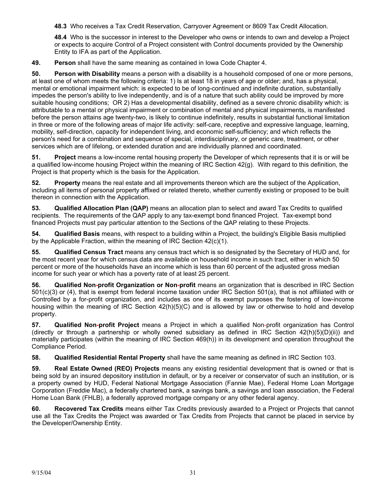**48.3** Who receives a Tax Credit Reservation, Carryover Agreement or 8609 Tax Credit Allocation.

**48.4** Who is the successor in interest to the Developer who owns or intends to own and develop a Project or expects to acquire Control of a Project consistent with Control documents provided by the Ownership Entity to IFA as part of the Application.

**49. Person** shall have the same meaning as contained in Iowa Code Chapter 4.

**50. Person with Disability** means a person with a disability is a household composed of one or more persons, at least one of whom meets the following criteria: 1) Is at least 18 in years of age or older; and, has a physical, mental or emotional impairment which: is expected to be of long-continued and indefinite duration, substantially impedes the person's ability to live independently, and is of a nature that such ability could be improved by more suitable housing conditions; OR 2) Has a developmental disability, defined as a severe chronic disability which: is attributable to a mental or physical impairment or combination of mental and physical impairments, is manifested before the person attains age twenty-two, is likely to continue indefinitely, results in substantial functional limitation in three or more of the following areas of major life activity: self-care, receptive and expressive language, learning, mobility, self-direction, capacity for independent living, and economic self-sufficiency; and which reflects the person's need for a combination and sequence of special, interdisciplinary, or generic care, treatment, or other services which are of lifelong, or extended duration and are individually planned and coordinated.

**51. Project** means a low-income rental housing property the Developer of which represents that it is or will be a qualified low-income housing Project within the meaning of IRC Section 42(g). With regard to this definition, the Project is that property which is the basis for the Application.

**52. Property** means the real estate and all improvements thereon which are the subject of the Application, including all items of personal property affixed or related thereto, whether currently existing or proposed to be built thereon in connection with the Application.

**53. Qualified Allocation Plan (QAP)** means an allocation plan to select and award Tax Credits to qualified recipients. The requirements of the QAP apply to any tax-exempt bond financed Project. Tax-exempt bond financed Projects must pay particular attention to the Sections of the QAP relating to these Projects.

**54. Qualified Basis** means, with respect to a building within a Project, the building's Eligible Basis multiplied by the Applicable Fraction, within the meaning of IRC Section 42(c)(1).

**55. Qualified Census Tract** means any census tract which is so designated by the Secretary of HUD and, for the most recent year for which census data are available on household income in such tract, either in which 50 percent or more of the households have an income which is less than 60 percent of the adjusted gross median income for such year or which has a poverty rate of at least 25 percent.

**56. Qualified Non-profit Organization or Non-profit** means an organization that is described in IRC Section 501(c)(3) or (4), that is exempt from federal income taxation under IRC Section 501(a), that is not affiliated with or Controlled by a for-profit organization, and includes as one of its exempt purposes the fostering of low-income housing within the meaning of IRC Section 42(h)(5)(C) and is allowed by law or otherwise to hold and develop property.

**57. Qualified Non-profit Project** means a Project in which a qualified Non-profit organization has Control (directly or through a partnership or wholly owned subsidiary as defined in IRC Section  $42(h)(5)(D)(ii)$ ) and materially participates (within the meaning of IRC Section 469(h)) in its development and operation throughout the Compliance Period.

**58. Qualified Residential Rental Property** shall have the same meaning as defined in IRC Section 103.

**59. Real Estate Owned (REO) Projects** means any existing residential development that is owned or that is being sold by an insured depository institution in default, or by a receiver or conservator of such an institution, or is a property owned by HUD, Federal National Mortgage Association (Fannie Mae), Federal Home Loan Mortgage Corporation (Freddie Mac), a federally chartered bank, a savings bank, a savings and loan association, the Federal Home Loan Bank (FHLB), a federally approved mortgage company or any other federal agency.

**60. Recovered Tax Credits** means either Tax Credits previously awarded to a Project or Projects that cannot use all the Tax Credits the Project was awarded or Tax Credits from Projects that cannot be placed in service by the Developer/Ownership Entity.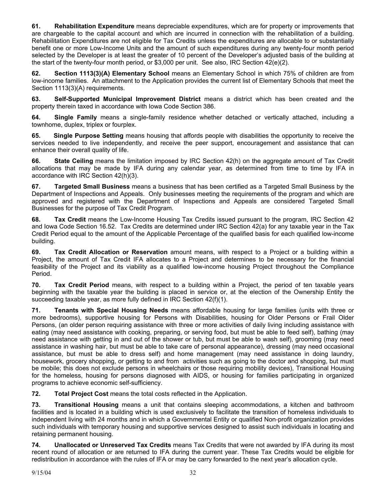**61. Rehabilitation Expenditure** means depreciable expenditures, which are for property or improvements that are chargeable to the capital account and which are incurred in connection with the rehabilitation of a building. Rehabilitation Expenditures are not eligible for Tax Credits unless the expenditures are allocable to or substantially benefit one or more Low-Income Units and the amount of such expenditures during any twenty-four month period selected by the Developer is at least the greater of 10 percent of the Developer's adjusted basis of the building at the start of the twenty-four month period, or \$3,000 per unit. See also, IRC Section 42(e)(2).

**62. Section 1113(3)(A) Elementary School** means an Elementary School in which 75% of children are from low-income families. An attachment to the Application provides the current list of Elementary Schools that meet the Section 1113(3)(A) requirements.

**63. Self-Supported Municipal Improvement District** means a district which has been created and the property therein taxed in accordance with Iowa Code Section 386.

**64. Single Family** means a single-family residence whether detached or vertically attached, including a townhome, duplex, triplex or fourplex.

**65. Single Purpose Setting** means housing that affords people with disabilities the opportunity to receive the services needed to live independently, and receive the peer support, encouragement and assistance that can enhance their overall quality of life.

**66. State Ceiling** means the limitation imposed by IRC Section 42(h) on the aggregate amount of Tax Credit allocations that may be made by IFA during any calendar year, as determined from time to time by IFA in accordance with IRC Section 42(h)(3).

**67. Targeted Small Business** means a business that has been certified as a Targeted Small Business by the Department of Inspections and Appeals. Only businesses meeting the requirements of the program and which are approved and registered with the Department of Inspections and Appeals are considered Targeted Small Businesses for the purpose of Tax Credit Program.

**68. Tax Credit** means the Low-Income Housing Tax Credits issued pursuant to the program, IRC Section 42 and Iowa Code Section 16.52. Tax Credits are determined under IRC Section 42(a) for any taxable year in the Tax Credit Period equal to the amount of the Applicable Percentage of the qualified basis for each qualified low-income building.

**69. Tax Credit Allocation or Reservation** amount means, with respect to a Project or a building within a Project, the amount of Tax Credit IFA allocates to a Project and determines to be necessary for the financial feasibility of the Project and its viability as a qualified low-income housing Project throughout the Compliance Period.

**70. Tax Credit Period** means, with respect to a building within a Project, the period of ten taxable years beginning with the taxable year the building is placed in service or, at the election of the Ownership Entity the succeeding taxable year, as more fully defined in IRC Section 42(f)(1).

**71. Tenants with Special Housing Needs** means affordable housing for large families (units with three or more bedrooms), supportive housing for Persons with Disabilities, housing for Older Persons or Frail Older Persons, (an older person requiring assistance with three or more activities of daily living including assistance with eating (may need assistance with cooking, preparing, or serving food, but must be able to feed self), bathing (may need assistance with getting in and out of the shower or tub, but must be able to wash self), grooming (may need assistance in washing hair, but must be able to take care of personal appearance), dressing (may need occasional assistance, but must be able to dress self) and home management (may need assistance in doing laundry, housework, grocery shopping, or getting to and from activities such as going to the doctor and shopping, but must be mobile; this does not exclude persons in wheelchairs or those requiring mobility devices), Transitional Housing for the homeless, housing for persons diagnosed with AIDS, or housing for families participating in organized programs to achieve economic self-sufficiency.

**72. Total Project Cost** means the total costs reflected in the Application.

**73. Transitional Housing** means a unit that contains sleeping accommodations, a kitchen and bathroom facilities and is located in a building which is used exclusively to facilitate the transition of homeless individuals to independent living with 24 months and in which a Governmental Entity or qualified Non-profit organization provides such individuals with temporary housing and supportive services designed to assist such individuals in locating and retaining permanent housing.

**74. Unallocated or Unreserved Tax Credits** means Tax Credits that were not awarded by IFA during its most recent round of allocation or are returned to IFA during the current year. These Tax Credits would be eligible for redistribution in accordance with the rules of IFA or may be carry forwarded to the next year's allocation cycle.